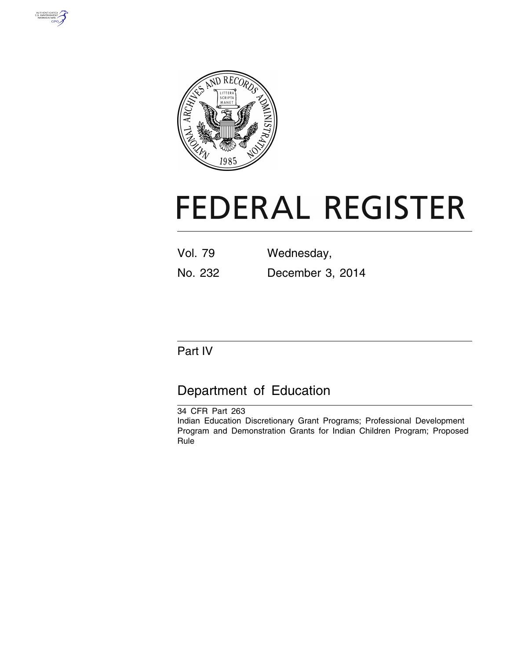



# **FEDERAL REGISTER**

| <b>Vol. 79</b> | Wednesday,       |
|----------------|------------------|
| No. 232        | December 3, 2014 |

# Part IV

# Department of Education

34 CFR Part 263 Indian Education Discretionary Grant Programs; Professional Development Program and Demonstration Grants for Indian Children Program; Proposed Rule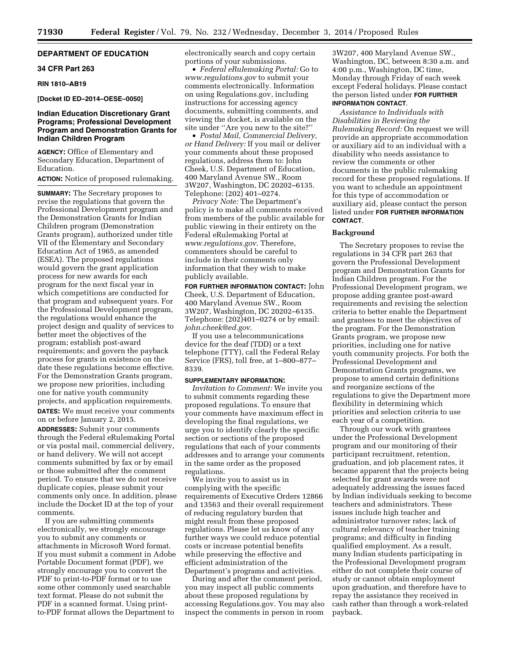# **DEPARTMENT OF EDUCATION**

# **34 CFR Part 263**

#### **RIN 1810–AB19**

# **[Docket ID ED–2014–OESE–0050]**

# **Indian Education Discretionary Grant Programs; Professional Development Program and Demonstration Grants for Indian Children Program**

**AGENCY:** Office of Elementary and Secondary Education, Department of Education.

# **ACTION:** Notice of proposed rulemaking.

**SUMMARY:** The Secretary proposes to revise the regulations that govern the Professional Development program and the Demonstration Grants for Indian Children program (Demonstration Grants program), authorized under title VII of the Elementary and Secondary Education Act of 1965, as amended (ESEA). The proposed regulations would govern the grant application process for new awards for each program for the next fiscal year in which competitions are conducted for that program and subsequent years. For the Professional Development program, the regulations would enhance the project design and quality of services to better meet the objectives of the program; establish post-award requirements; and govern the payback process for grants in existence on the date these regulations become effective. For the Demonstration Grants program, we propose new priorities, including one for native youth community projects, and application requirements. **DATES:** We must receive your comments on or before January 2, 2015.

**ADDRESSES:** Submit your comments through the Federal eRulemaking Portal or via postal mail, commercial delivery, or hand delivery. We will not accept comments submitted by fax or by email or those submitted after the comment period. To ensure that we do not receive duplicate copies, please submit your comments only once. In addition, please include the Docket ID at the top of your comments.

If you are submitting comments electronically, we strongly encourage you to submit any comments or attachments in Microsoft Word format. If you must submit a comment in Adobe Portable Document format (PDF), we strongly encourage you to convert the PDF to print-to-PDF format or to use some other commonly used searchable text format. Please do not submit the PDF in a scanned format. Using printto-PDF format allows the Department to

electronically search and copy certain portions of your submissions.

• *Federal eRulemaking Portal:* Go to *[www.regulations.gov](http://www.regulations.gov)* to submit your comments electronically. Information on using Regulations.gov, including instructions for accessing agency documents, submitting comments, and viewing the docket, is available on the site under ''Are you new to the site?''

• *Postal Mail, Commercial Delivery, or Hand Delivery:* If you mail or deliver your comments about these proposed regulations, address them to: John Cheek, U.S. Department of Education, 400 Maryland Avenue SW., Room 3W207, Washington, DC 20202–6135. Telephone: (202) 401–0274.

*Privacy Note:* The Department's policy is to make all comments received from members of the public available for public viewing in their entirety on the Federal eRulemaking Portal at *[www.regulations.gov](http://www.regulations.gov)*. Therefore, commenters should be careful to include in their comments only information that they wish to make publicly available.

**FOR FURTHER INFORMATION CONTACT:** John Cheek, U.S. Department of Education, 400 Maryland Avenue SW., Room 3W207, Washington, DC 20202–6135. Telephone: (202)401–0274 or by email: *[john.cheek@ed.gov](mailto:john.cheek@ed.gov)*.

If you use a telecommunications device for the deaf (TDD) or a text telephone (TTY), call the Federal Relay Service (FRS), toll free, at 1–800–877– 8339.

# **SUPPLEMENTARY INFORMATION:**

*Invitation to Comment:* We invite you to submit comments regarding these proposed regulations. To ensure that your comments have maximum effect in developing the final regulations, we urge you to identify clearly the specific section or sections of the proposed regulations that each of your comments addresses and to arrange your comments in the same order as the proposed regulations.

We invite you to assist us in complying with the specific requirements of Executive Orders 12866 and 13563 and their overall requirement of reducing regulatory burden that might result from these proposed regulations. Please let us know of any further ways we could reduce potential costs or increase potential benefits while preserving the effective and efficient administration of the Department's programs and activities.

During and after the comment period, you may inspect all public comments about these proposed regulations by accessing Regulations.gov. You may also inspect the comments in person in room

3W207, 400 Maryland Avenue SW., Washington, DC, between 8:30 a.m. and 4:00 p.m., Washington, DC time, Monday through Friday of each week except Federal holidays. Please contact the person listed under **FOR FURTHER INFORMATION CONTACT**.

*Assistance to Individuals with Disabilities in Reviewing the Rulemaking Record:* On request we will provide an appropriate accommodation or auxiliary aid to an individual with a disability who needs assistance to review the comments or other documents in the public rulemaking record for these proposed regulations. If you want to schedule an appointment for this type of accommodation or auxiliary aid, please contact the person listed under **FOR FURTHER INFORMATION CONTACT**.

# **Background**

The Secretary proposes to revise the regulations in 34 CFR part 263 that govern the Professional Development program and Demonstration Grants for Indian Children program. For the Professional Development program, we propose adding grantee post-award requirements and revising the selection criteria to better enable the Department and grantees to meet the objectives of the program. For the Demonstration Grants program, we propose new priorities, including one for native youth community projects. For both the Professional Development and Demonstration Grants programs, we propose to amend certain definitions and reorganize sections of the regulations to give the Department more flexibility in determining which priorities and selection criteria to use each year of a competition.

Through our work with grantees under the Professional Development program and our monitoring of their participant recruitment, retention, graduation, and job placement rates, it became apparent that the projects being selected for grant awards were not adequately addressing the issues faced by Indian individuals seeking to become teachers and administrators. These issues include high teacher and administrator turnover rates; lack of cultural relevancy of teacher training programs; and difficulty in finding qualified employment. As a result, many Indian students participating in the Professional Development program either do not complete their course of study or cannot obtain employment upon graduation, and therefore have to repay the assistance they received in cash rather than through a work-related payback.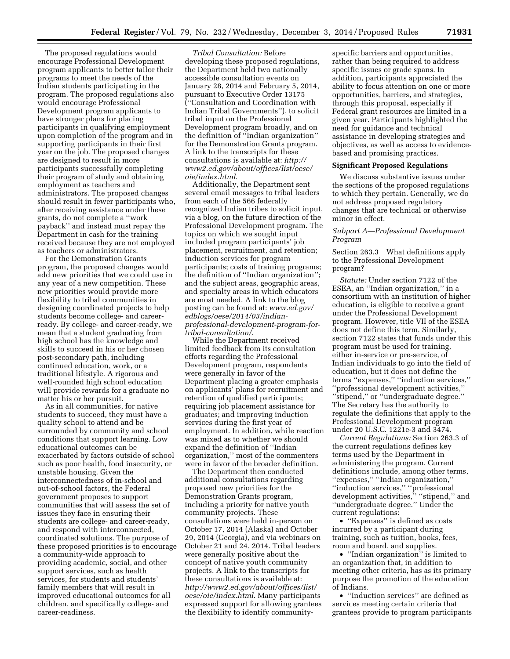The proposed regulations would encourage Professional Development program applicants to better tailor their programs to meet the needs of the Indian students participating in the program. The proposed regulations also would encourage Professional Development program applicants to have stronger plans for placing participants in qualifying employment upon completion of the program and in supporting participants in their first year on the job. The proposed changes are designed to result in more participants successfully completing their program of study and obtaining employment as teachers and administrators. The proposed changes should result in fewer participants who, after receiving assistance under these grants, do not complete a ''work payback'' and instead must repay the Department in cash for the training received because they are not employed as teachers or administrators.

For the Demonstration Grants program, the proposed changes would add new priorities that we could use in any year of a new competition. These new priorities would provide more flexibility to tribal communities in designing coordinated projects to help students become college- and careerready. By college- and career-ready, we mean that a student graduating from high school has the knowledge and skills to succeed in his or her chosen post-secondary path, including continued education, work, or a traditional lifestyle. A rigorous and well-rounded high school education will provide rewards for a graduate no matter his or her pursuit.

As in all communities, for native students to succeed, they must have a quality school to attend and be surrounded by community and school conditions that support learning. Low educational outcomes can be exacerbated by factors outside of school such as poor health, food insecurity, or unstable housing. Given the interconnectedness of in-school and out-of-school factors, the Federal government proposes to support communities that will assess the set of issues they face in ensuring their students are college- and career-ready, and respond with interconnected, coordinated solutions. The purpose of these proposed priorities is to encourage a community-wide approach to providing academic, social, and other support services, such as health services, for students and students' family members that will result in improved educational outcomes for all children, and specifically college- and career-readiness.

*Tribal Consultation:* Before developing these proposed regulations, the Department held two nationally accessible consultation events on January 28, 2014 and February 5, 2014, pursuant to Executive Order 13175 (''Consultation and Coordination with Indian Tribal Governments''), to solicit tribal input on the Professional Development program broadly, and on the definition of ''Indian organization'' for the Demonstration Grants program. A link to the transcripts for these consultations is available at: *[http://](http://www2.ed.gov/about/offices/list/oese/oie/index.html) [www2.ed.gov/about/offices/list/oese/](http://www2.ed.gov/about/offices/list/oese/oie/index.html) [oie/index.html](http://www2.ed.gov/about/offices/list/oese/oie/index.html)*.

Additionally, the Department sent several email messages to tribal leaders from each of the 566 federally recognized Indian tribes to solicit input, via a blog, on the future direction of the Professional Development program. The topics on which we sought input included program participants' job placement, recruitment, and retention; induction services for program participants; costs of training programs; the definition of ''Indian organization''; and the subject areas, geographic areas, and specialty areas in which educators are most needed. A link to the blog posting can be found at: *[www.ed.gov/](http://www.ed.gov/edblogs/oese/2014/03/indian-professional-development-program-for-tribal-consultation/) edblogs/oese/2014/03/indian[professional-development-program-for](http://www.ed.gov/edblogs/oese/2014/03/indian-professional-development-program-for-tribal-consultation/)tribal-consultation/*.

While the Department received limited feedback from its consultation efforts regarding the Professional Development program, respondents were generally in favor of the Department placing a greater emphasis on applicants' plans for recruitment and retention of qualified participants; requiring job placement assistance for graduates; and improving induction services during the first year of employment. In addition, while reaction was mixed as to whether we should expand the definition of ''Indian organization,'' most of the commenters were in favor of the broader definition.

The Department then conducted additional consultations regarding proposed new priorities for the Demonstration Grants program, including a priority for native youth community projects. These consultations were held in-person on October 17, 2014 (Alaska) and October 29, 2014 (Georgia), and via webinars on October 21 and 24, 2014. Tribal leaders were generally positive about the concept of native youth community projects. A link to the transcripts for these consultations is available at: *[http://www2.ed.gov/about/offices/list/](http://www2.ed.gov/about/offices/list/oese/oie/index.html) [oese/oie/index.html](http://www2.ed.gov/about/offices/list/oese/oie/index.html)*. Many participants expressed support for allowing grantees the flexibility to identify communityspecific barriers and opportunities, rather than being required to address specific issues or grade spans. In addition, participants appreciated the ability to focus attention on one or more opportunities, barriers, and strategies, through this proposal, especially if Federal grant resources are limited in a given year. Participants highlighted the need for guidance and technical assistance in developing strategies and objectives, as well as access to evidencebased and promising practices.

# **Significant Proposed Regulations**

We discuss substantive issues under the sections of the proposed regulations to which they pertain. Generally, we do not address proposed regulatory changes that are technical or otherwise minor in effect.

# *Subpart A—Professional Development Program*

Section 263.3 What definitions apply to the Professional Development program?

*Statute:* Under section 7122 of the ESEA, an ''Indian organization,'' in a consortium with an institution of higher education, is eligible to receive a grant under the Professional Development program. However, title VII of the ESEA does not define this term. Similarly, section 7122 states that funds under this program must be used for training, either in-service or pre-service, of Indian individuals to go into the field of education, but it does not define the terms ''expenses,'' ''induction services,'' ''professional development activities,'' ''stipend,'' or ''undergraduate degree.'' The Secretary has the authority to regulate the definitions that apply to the Professional Development program under 20 U.S.C. 1221e-3 and 3474.

*Current Regulations:* Section 263.3 of the current regulations defines key terms used by the Department in administering the program. Current definitions include, among other terms, ''expenses,'' ''Indian organization,'' ''induction services,'' ''professional development activities,'' ''stipend,'' and ''undergraduate degree.'' Under the current regulations:

• ''Expenses'' is defined as costs incurred by a participant during training, such as tuition, books, fees, room and board, and supplies.

• "Indian organization" is limited to an organization that, in addition to meeting other criteria, has as its primary purpose the promotion of the education of Indians.

• ''Induction services'' are defined as services meeting certain criteria that grantees provide to program participants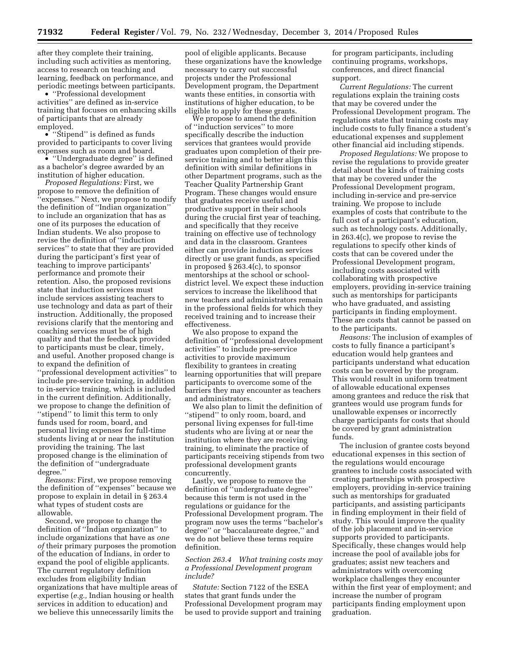after they complete their training, including such activities as mentoring, access to research on teaching and learning, feedback on performance, and periodic meetings between participants.

• ''Professional development activities'' are defined as in-service training that focuses on enhancing skills of participants that are already employed.

• "Stipend" is defined as funds provided to participants to cover living expenses such as room and board.

• ''Undergraduate degree'' is defined as a bachelor's degree awarded by an institution of higher education.

*Proposed Regulations:* First, we propose to remove the definition of ''expenses.'' Next, we propose to modify the definition of ''Indian organization'' to include an organization that has as one of its purposes the education of Indian students. We also propose to revise the definition of ''induction services'' to state that they are provided during the participant's first year of teaching to improve participants' performance and promote their retention. Also, the proposed revisions state that induction services must include services assisting teachers to use technology and data as part of their instruction. Additionally, the proposed revisions clarify that the mentoring and coaching services must be of high quality and that the feedback provided to participants must be clear, timely, and useful. Another proposed change is to expand the definition of ''professional development activities'' to include pre-service training, in addition to in-service training, which is included in the current definition. Additionally, we propose to change the definition of ''stipend'' to limit this term to only funds used for room, board, and personal living expenses for full-time students living at or near the institution providing the training. The last proposed change is the elimination of the definition of ''undergraduate degree.''

*Reasons:* First, we propose removing the definition of ''expenses'' because we propose to explain in detail in § 263.4 what types of student costs are allowable.

Second, we propose to change the definition of ''Indian organization'' to include organizations that have as *one of* their primary purposes the promotion of the education of Indians, in order to expand the pool of eligible applicants. The current regulatory definition excludes from eligibility Indian organizations that have multiple areas of expertise (*e.g.,* Indian housing or health services in addition to education) and we believe this unnecessarily limits the

pool of eligible applicants. Because these organizations have the knowledge necessary to carry out successful projects under the Professional Development program, the Department wants these entities, in consortia with institutions of higher education, to be eligible to apply for these grants.

We propose to amend the definition of ''induction services'' to more specifically describe the induction services that grantees would provide graduates upon completion of their preservice training and to better align this definition with similar definitions in other Department programs, such as the Teacher Quality Partnership Grant Program. These changes would ensure that graduates receive useful and productive support in their schools during the crucial first year of teaching, and specifically that they receive training on effective use of technology and data in the classroom. Grantees either can provide induction services directly or use grant funds, as specified in proposed § 263.4(c), to sponsor mentorships at the school or schooldistrict level. We expect these induction services to increase the likelihood that new teachers and administrators remain in the professional fields for which they received training and to increase their effectiveness.

We also propose to expand the definition of ''professional development activities'' to include pre-service activities to provide maximum flexibility to grantees in creating learning opportunities that will prepare participants to overcome some of the barriers they may encounter as teachers and administrators.

We also plan to limit the definition of ''stipend'' to only room, board, and personal living expenses for full-time students who are living at or near the institution where they are receiving training, to eliminate the practice of participants receiving stipends from two professional development grants concurrently.

Lastly, we propose to remove the definition of ''undergraduate degree'' because this term is not used in the regulations or guidance for the Professional Development program. The program now uses the terms ''bachelor's degree'' or ''baccalaureate degree,'' and we do not believe these terms require definition.

# *Section 263.4 What training costs may a Professional Development program include?*

*Statute:* Section 7122 of the ESEA states that grant funds under the Professional Development program may be used to provide support and training for program participants, including continuing programs, workshops, conferences, and direct financial support.

*Current Regulations:* The current regulations explain the training costs that may be covered under the Professional Development program. The regulations state that training costs may include costs to fully finance a student's educational expenses and supplement other financial aid including stipends.

*Proposed Regulations:* We propose to revise the regulations to provide greater detail about the kinds of training costs that may be covered under the Professional Development program, including in-service and pre-service training. We propose to include examples of costs that contribute to the full cost of a participant's education, such as technology costs. Additionally, in 263.4(c), we propose to revise the regulations to specify other kinds of costs that can be covered under the Professional Development program, including costs associated with collaborating with prospective employers, providing in-service training such as mentorships for participants who have graduated, and assisting participants in finding employment. These are costs that cannot be passed on to the participants.

*Reasons:* The inclusion of examples of costs to fully finance a participant's education would help grantees and participants understand what education costs can be covered by the program. This would result in uniform treatment of allowable educational expenses among grantees and reduce the risk that grantees would use program funds for unallowable expenses or incorrectly charge participants for costs that should be covered by grant administration funds.

The inclusion of grantee costs beyond educational expenses in this section of the regulations would encourage grantees to include costs associated with creating partnerships with prospective employers, providing in-service training such as mentorships for graduated participants, and assisting participants in finding employment in their field of study. This would improve the quality of the job placement and in-service supports provided to participants. Specifically, these changes would help increase the pool of available jobs for graduates; assist new teachers and administrators with overcoming workplace challenges they encounter within the first year of employment; and increase the number of program participants finding employment upon graduation.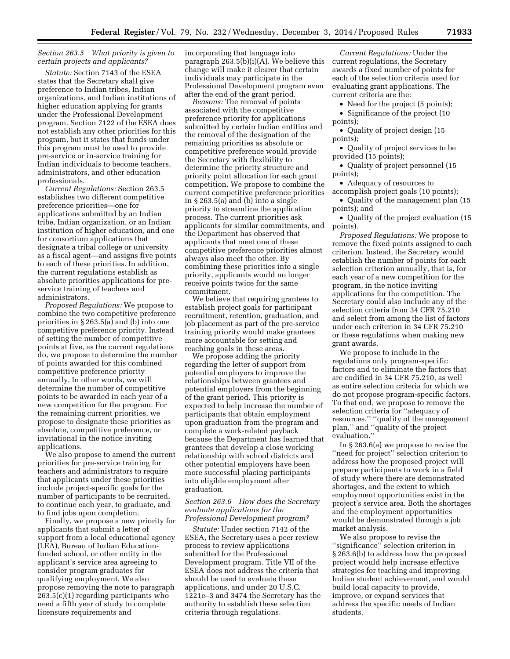# *Section 263.5 What priority is given to certain projects and applicants?*

*Statute:* Section 7143 of the ESEA states that the Secretary shall give preference to Indian tribes, Indian organizations, and Indian institutions of higher education applying for grants under the Professional Development program. Section 7122 of the ESEA does not establish any other priorities for this program, but it states that funds under this program must be used to provide pre-service or in-service training for Indian individuals to become teachers, administrators, and other education professionals.

*Current Regulations:* Section 263.5 establishes two different competitive preference priorities—one for applications submitted by an Indian tribe, Indian organization, or an Indian institution of higher education, and one for consortium applications that designate a tribal college or university as a fiscal agent—and assigns five points to each of these priorities. In addition, the current regulations establish as absolute priorities applications for preservice training of teachers and administrators.

*Proposed Regulations:* We propose to combine the two competitive preference priorities in § 263.5(a) and (b) into one competitive preference priority. Instead of setting the number of competitive points at five, as the current regulations do, we propose to determine the number of points awarded for this combined competitive preference priority annually. In other words, we will determine the number of competitive points to be awarded in each year of a new competition for the program. For the remaining current priorities, we propose to designate these priorities as absolute, competitive preference, or invitational in the notice inviting applications.

We also propose to amend the current priorities for pre-service training for teachers and administrators to require that applicants under these priorities include project-specific goals for the number of participants to be recruited, to continue each year, to graduate, and to find jobs upon completion.

Finally, we propose a new priority for applicants that submit a letter of support from a local educational agency (LEA), Bureau of Indian Educationfunded school, or other entity in the applicant's service area agreeing to consider program graduates for qualifying employment. We also propose removing the note to paragraph 263.5(c)(1) regarding participants who need a fifth year of study to complete licensure requirements and

incorporating that language into paragraph  $263.5(b)(i)(A)$ . We believe this change will make it clearer that certain individuals may participate in the Professional Development program even after the end of the grant period.

*Reasons:* The removal of points associated with the competitive preference priority for applications submitted by certain Indian entities and the removal of the designation of the remaining priorities as absolute or competitive preference would provide the Secretary with flexibility to determine the priority structure and priority point allocation for each grant competition. We propose to combine the current competitive preference priorities in § 263.5(a) and (b) into a single priority to streamline the application process. The current priorities ask applicants for similar commitments, and the Department has observed that applicants that meet one of these competitive preference priorities almost always also meet the other. By combining these priorities into a single priority, applicants would no longer receive points twice for the same commitment.

We believe that requiring grantees to establish project goals for participant recruitment, retention, graduation, and job placement as part of the pre-service training priority would make grantees more accountable for setting and reaching goals in these areas.

We propose adding the priority regarding the letter of support from potential employers to improve the relationships between grantees and potential employers from the beginning of the grant period. This priority is expected to help increase the number of participants that obtain employment upon graduation from the program and complete a work-related payback because the Department has learned that grantees that develop a close working relationship with school districts and other potential employers have been more successful placing participants into eligible employment after graduation.

# *Section 263.6 How does the Secretary evaluate applications for the Professional Development program?*

*Statute:* Under section 7142 of the ESEA, the Secretary uses a peer review process to review applications submitted for the Professional Development program. Title VII of the ESEA does not address the criteria that should be used to evaluate these applications, and under 20 U.S.C. 1221e–3 and 3474 the Secretary has the authority to establish these selection criteria through regulations.

*Current Regulations:* Under the current regulations, the Secretary awards a fixed number of points for each of the selection criteria used for evaluating grant applications. The current criteria are the:

• Need for the project (5 points);

• Significance of the project (10 points);

• Quality of project design (15) points);

• Quality of project services to be provided (15 points);

• Quality of project personnel (15 points);

• Adequacy of resources to accomplish project goals (10 points);

• Quality of the management plan (15 points); and

• Quality of the project evaluation (15 points).

*Proposed Regulations:* We propose to remove the fixed points assigned to each criterion. Instead, the Secretary would establish the number of points for each selection criterion annually, that is, for each year of a new competition for the program, in the notice inviting applications for the competition. The Secretary could also include any of the selection criteria from 34 CFR 75.210 and select from among the list of factors under each criterion in 34 CFR 75.210 or these regulations when making new grant awards.

We propose to include in the regulations only program-specific factors and to eliminate the factors that are codified in 34 CFR 75.210, as well as entire selection criteria for which we do not propose program-specific factors. To that end, we propose to remove the selection criteria for ''adequacy of resources,'' ''quality of the management plan,'' and ''quality of the project evaluation.''

In § 263.6(a) we propose to revise the "need for project" selection criterion to address how the proposed project will prepare participants to work in a field of study where there are demonstrated shortages, and the extent to which employment opportunities exist in the project's service area. Both the shortages and the employment opportunities would be demonstrated through a job market analysis.

We also propose to revise the ''significance'' selection criterion in § 263.6(b) to address how the proposed project would help increase effective strategies for teaching and improving Indian student achievement, and would build local capacity to provide, improve, or expand services that address the specific needs of Indian students.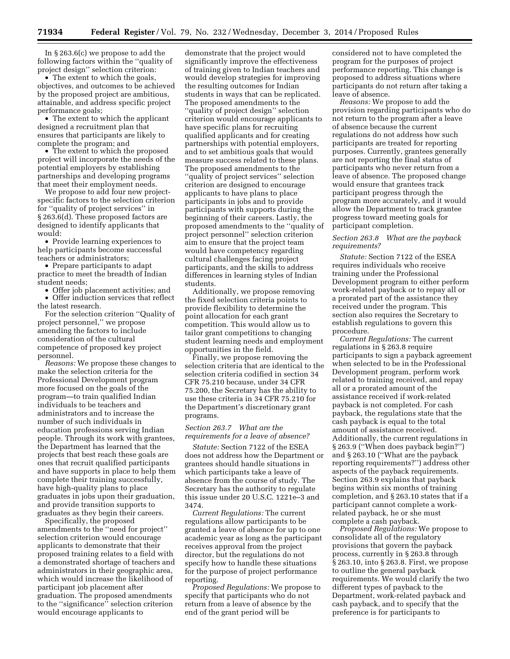In § 263.6(c) we propose to add the following factors within the ''quality of project design'' selection criterion:

• The extent to which the goals, objectives, and outcomes to be achieved by the proposed project are ambitious, attainable, and address specific project performance goals;

• The extent to which the applicant designed a recruitment plan that ensures that participants are likely to complete the program; and

• The extent to which the proposed project will incorporate the needs of the potential employers by establishing partnerships and developing programs that meet their employment needs.

We propose to add four new projectspecific factors to the selection criterion for ''quality of project services'' in § 263.6(d). These proposed factors are designed to identify applicants that would:

• Provide learning experiences to help participants become successful teachers or administrators;

• Prepare participants to adapt practice to meet the breadth of Indian student needs;

• Offer job placement activities; and

• Offer induction services that reflect the latest research.

For the selection criterion ''Quality of project personnel,'' we propose amending the factors to include consideration of the cultural competence of proposed key project personnel.

*Reasons:* We propose these changes to make the selection criteria for the Professional Development program more focused on the goals of the program—to train qualified Indian individuals to be teachers and administrators and to increase the number of such individuals in education professions serving Indian people. Through its work with grantees, the Department has learned that the projects that best reach these goals are ones that recruit qualified participants and have supports in place to help them complete their training successfully, have high-quality plans to place graduates in jobs upon their graduation, and provide transition supports to graduates as they begin their careers.

Specifically, the proposed amendments to the ''need for project'' selection criterion would encourage applicants to demonstrate that their proposed training relates to a field with a demonstrated shortage of teachers and administrators in their geographic area, which would increase the likelihood of participant job placement after graduation. The proposed amendments to the ''significance'' selection criterion would encourage applicants to

demonstrate that the project would significantly improve the effectiveness of training given to Indian teachers and would develop strategies for improving the resulting outcomes for Indian students in ways that can be replicated. The proposed amendments to the ''quality of project design'' selection criterion would encourage applicants to have specific plans for recruiting qualified applicants and for creating partnerships with potential employers, and to set ambitious goals that would measure success related to these plans. The proposed amendments to the ''quality of project services'' selection criterion are designed to encourage applicants to have plans to place participants in jobs and to provide participants with supports during the beginning of their careers. Lastly, the proposed amendments to the ''quality of project personnel'' selection criterion aim to ensure that the project team would have competency regarding cultural challenges facing project participants, and the skills to address differences in learning styles of Indian students.

Additionally, we propose removing the fixed selection criteria points to provide flexibility to determine the point allocation for each grant competition. This would allow us to tailor grant competitions to changing student learning needs and employment opportunities in the field.

Finally, we propose removing the selection criteria that are identical to the selection criteria codified in section 34 CFR 75.210 because, under 34 CFR 75.200, the Secretary has the ability to use these criteria in 34 CFR 75.210 for the Department's discretionary grant programs.

#### *Section 263.7 What are the requirements for a leave of absence?*

*Statute:* Section 7122 of the ESEA does not address how the Department or grantees should handle situations in which participants take a leave of absence from the course of study. The Secretary has the authority to regulate this issue under 20 U.S.C. 1221e–3 and 3474.

*Current Regulations:* The current regulations allow participants to be granted a leave of absence for up to one academic year as long as the participant receives approval from the project director, but the regulations do not specify how to handle these situations for the purpose of project performance reporting.

*Proposed Regulations:* We propose to specify that participants who do not return from a leave of absence by the end of the grant period will be

considered not to have completed the program for the purposes of project performance reporting. This change is proposed to address situations where participants do not return after taking a leave of absence.

*Reasons:* We propose to add the provision regarding participants who do not return to the program after a leave of absence because the current regulations do not address how such participants are treated for reporting purposes. Currently, grantees generally are not reporting the final status of participants who never return from a leave of absence. The proposed change would ensure that grantees track participant progress through the program more accurately, and it would allow the Department to track grantee progress toward meeting goals for participant completion.

# *Section 263.8 What are the payback requirements?*

*Statute:* Section 7122 of the ESEA requires individuals who receive training under the Professional Development program to either perform work-related payback or to repay all or a prorated part of the assistance they received under the program. This section also requires the Secretary to establish regulations to govern this procedure.

*Current Regulations:* The current regulations in § 263.8 require participants to sign a payback agreement when selected to be in the Professional Development program, perform work related to training received, and repay all or a prorated amount of the assistance received if work-related payback is not completed. For cash payback, the regulations state that the cash payback is equal to the total amount of assistance received. Additionally, the current regulations in § 263.9 (''When does payback begin?'') and § 263.10 (''What are the payback reporting requirements?'') address other aspects of the payback requirements. Section 263.9 explains that payback begins within six months of training completion, and § 263.10 states that if a participant cannot complete a workrelated payback, he or she must complete a cash payback.

*Proposed Regulations:* We propose to consolidate all of the regulatory provisions that govern the payback process, currently in § 263.8 through § 263.10, into § 263.8. First, we propose to outline the general payback requirements. We would clarify the two different types of payback to the Department, work-related payback and cash payback, and to specify that the preference is for participants to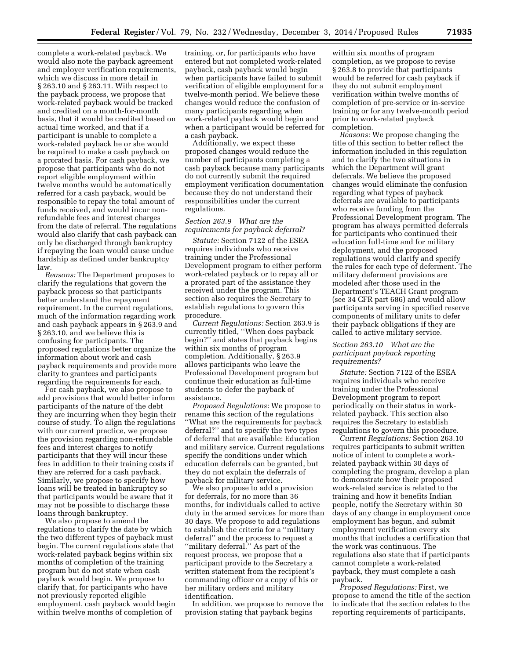complete a work-related payback. We would also note the payback agreement and employer verification requirements, which we discuss in more detail in § 263.10 and § 263.11. With respect to the payback process, we propose that work-related payback would be tracked and credited on a month-for-month basis, that it would be credited based on actual time worked, and that if a participant is unable to complete a work-related payback he or she would be required to make a cash payback on a prorated basis. For cash payback, we propose that participants who do not report eligible employment within twelve months would be automatically referred for a cash payback, would be responsible to repay the total amount of funds received, and would incur nonrefundable fees and interest charges from the date of referral. The regulations would also clarify that cash payback can only be discharged through bankruptcy if repaying the loan would cause undue hardship as defined under bankruptcy law.

*Reasons:* The Department proposes to clarify the regulations that govern the payback process so that participants better understand the repayment requirement. In the current regulations, much of the information regarding work and cash payback appears in § 263.9 and § 263.10, and we believe this is confusing for participants. The proposed regulations better organize the information about work and cash payback requirements and provide more clarity to grantees and participants regarding the requirements for each.

For cash payback, we also propose to add provisions that would better inform participants of the nature of the debt they are incurring when they begin their course of study. To align the regulations with our current practice, we propose the provision regarding non-refundable fees and interest charges to notify participants that they will incur these fees in addition to their training costs if they are referred for a cash payback. Similarly, we propose to specify how loans will be treated in bankruptcy so that participants would be aware that it may not be possible to discharge these loans through bankruptcy.

We also propose to amend the regulations to clarify the date by which the two different types of payback must begin. The current regulations state that work-related payback begins within six months of completion of the training program but do not state when cash payback would begin. We propose to clarify that, for participants who have not previously reported eligible employment, cash payback would begin within twelve months of completion of

training, or, for participants who have entered but not completed work-related payback, cash payback would begin when participants have failed to submit verification of eligible employment for a twelve-month period. We believe these changes would reduce the confusion of many participants regarding when work-related payback would begin and when a participant would be referred for a cash payback.

Additionally, we expect these proposed changes would reduce the number of participants completing a cash payback because many participants do not currently submit the required employment verification documentation because they do not understand their responsibilities under the current regulations.

# *Section 263.9 What are the requirements for payback deferral?*

*Statute:* Section 7122 of the ESEA requires individuals who receive training under the Professional Development program to either perform work-related payback or to repay all or a prorated part of the assistance they received under the program. This section also requires the Secretary to establish regulations to govern this procedure.

*Current Regulations:* Section 263.9 is currently titled, ''When does payback begin?'' and states that payback begins within six months of program completion. Additionally, § 263.9 allows participants who leave the Professional Development program but continue their education as full-time students to defer the payback of assistance.

*Proposed Regulations:* We propose to rename this section of the regulations ''What are the requirements for payback deferral?'' and to specify the two types of deferral that are available: Education and military service. Current regulations specify the conditions under which education deferrals can be granted, but they do not explain the deferrals of payback for military service.

We also propose to add a provision for deferrals, for no more than 36 months, for individuals called to active duty in the armed services for more than 30 days. We propose to add regulations to establish the criteria for a ''military deferral'' and the process to request a ''military deferral.'' As part of the request process, we propose that a participant provide to the Secretary a written statement from the recipient's commanding officer or a copy of his or her military orders and military identification.

In addition, we propose to remove the provision stating that payback begins

within six months of program completion, as we propose to revise § 263.8 to provide that participants would be referred for cash payback if they do not submit employment verification within twelve months of completion of pre-service or in-service training or for any twelve-month period prior to work-related payback completion.

*Reasons:* We propose changing the title of this section to better reflect the information included in this regulation and to clarify the two situations in which the Department will grant deferrals. We believe the proposed changes would eliminate the confusion regarding what types of payback deferrals are available to participants who receive funding from the Professional Development program. The program has always permitted deferrals for participants who continued their education full-time and for military deployment, and the proposed regulations would clarify and specify the rules for each type of deferment. The military deferment provisions are modeled after those used in the Department's TEACH Grant program (see 34 CFR part 686) and would allow participants serving in specified reserve components of military units to defer their payback obligations if they are called to active military service.

# *Section 263.10 What are the participant payback reporting requirements?*

*Statute:* Section 7122 of the ESEA requires individuals who receive training under the Professional Development program to report periodically on their status in workrelated payback. This section also requires the Secretary to establish regulations to govern this procedure.

*Current Regulations:* Section 263.10 requires participants to submit written notice of intent to complete a workrelated payback within 30 days of completing the program, develop a plan to demonstrate how their proposed work-related service is related to the training and how it benefits Indian people, notify the Secretary within 30 days of any change in employment once employment has begun, and submit employment verification every six months that includes a certification that the work was continuous. The regulations also state that if participants cannot complete a work-related payback, they must complete a cash payback.

*Proposed Regulations:* First, we propose to amend the title of the section to indicate that the section relates to the reporting requirements of participants,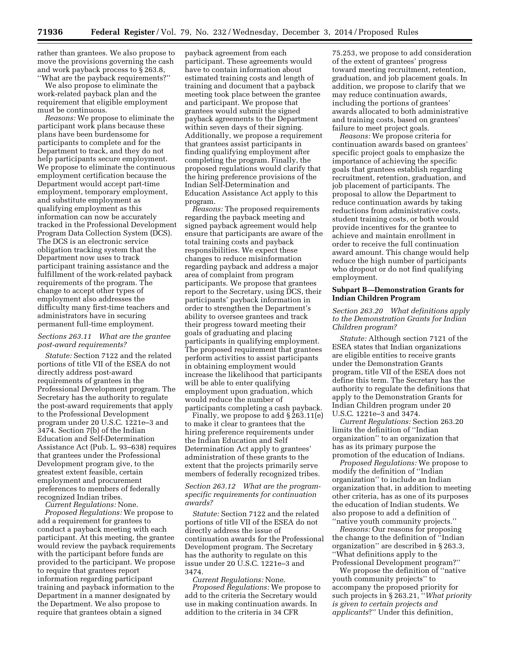rather than grantees. We also propose to move the provisions governing the cash and work payback process to § 263.8, ''What are the payback requirements?''

We also propose to eliminate the work-related payback plan and the requirement that eligible employment must be continuous.

*Reasons:* We propose to eliminate the participant work plans because these plans have been burdensome for participants to complete and for the Department to track, and they do not help participants secure employment. We propose to eliminate the continuous employment certification because the Department would accept part-time employment, temporary employment, and substitute employment as qualifying employment as this information can now be accurately tracked in the Professional Development Program Data Collection System (DCS). The DCS is an electronic service obligation tracking system that the Department now uses to track participant training assistance and the fulfillment of the work-related payback requirements of the program. The change to accept other types of employment also addresses the difficulty many first-time teachers and administrators have in securing permanent full-time employment.

# *Sections 263.11 What are the grantee post-award requirements?*

*Statute:* Section 7122 and the related portions of title VII of the ESEA do not directly address post-award requirements of grantees in the Professional Development program. The Secretary has the authority to regulate the post-award requirements that apply to the Professional Development program under 20 U.S.C. 1221e–3 and 3474. Section 7(b) of the Indian Education and Self-Determination Assistance Act (Pub. L. 93–638) requires that grantees under the Professional Development program give, to the greatest extent feasible, certain employment and procurement preferences to members of federally recognized Indian tribes.

*Current Regulations:* None.

*Proposed Regulations:* We propose to add a requirement for grantees to conduct a payback meeting with each participant. At this meeting, the grantee would review the payback requirements with the participant before funds are provided to the participant. We propose to require that grantees report information regarding participant training and payback information to the Department in a manner designated by the Department. We also propose to require that grantees obtain a signed

payback agreement from each participant. These agreements would have to contain information about estimated training costs and length of training and document that a payback meeting took place between the grantee and participant. We propose that grantees would submit the signed payback agreements to the Department within seven days of their signing. Additionally, we propose a requirement that grantees assist participants in finding qualifying employment after completing the program. Finally, the proposed regulations would clarify that the hiring preference provisions of the Indian Self-Determination and Education Assistance Act apply to this program.

*Reasons:* The proposed requirements regarding the payback meeting and signed payback agreement would help ensure that participants are aware of the total training costs and payback responsibilities. We expect these changes to reduce misinformation regarding payback and address a major area of complaint from program participants. We propose that grantees report to the Secretary, using DCS, their participants' payback information in order to strengthen the Department's ability to oversee grantees and track their progress toward meeting their goals of graduating and placing participants in qualifying employment. The proposed requirement that grantees perform activities to assist participants in obtaining employment would increase the likelihood that participants will be able to enter qualifying employment upon graduation, which would reduce the number of participants completing a cash payback.

Finally, we propose to add § 263.11(e) to make it clear to grantees that the hiring preference requirements under the Indian Education and Self Determination Act apply to grantees' administration of these grants to the extent that the projects primarily serve members of federally recognized tribes.

# *Section 263.12 What are the programspecific requirements for continuation awards?*

*Statute:* Section 7122 and the related portions of title VII of the ESEA do not directly address the issue of continuation awards for the Professional Development program. The Secretary has the authority to regulate on this issue under 20 U.S.C. 1221e–3 and 3474.

*Current Regulations:* None. *Proposed Regulations:* We propose to add to the criteria the Secretary would use in making continuation awards. In addition to the criteria in 34 CFR

75.253, we propose to add consideration of the extent of grantees' progress toward meeting recruitment, retention, graduation, and job placement goals. In addition, we propose to clarify that we may reduce continuation awards, including the portions of grantees' awards allocated to both administrative and training costs, based on grantees' failure to meet project goals.

*Reasons:* We propose criteria for continuation awards based on grantees' specific project goals to emphasize the importance of achieving the specific goals that grantees establish regarding recruitment, retention, graduation, and job placement of participants. The proposal to allow the Department to reduce continuation awards by taking reductions from administrative costs, student training costs, or both would provide incentives for the grantee to achieve and maintain enrollment in order to receive the full continuation award amount. This change would help reduce the high number of participants who dropout or do not find qualifying employment.

# **Subpart B—Demonstration Grants for Indian Children Program**

# *Section 263.20 What definitions apply to the Demonstration Grants for Indian Children program?*

*Statute:* Although section 7121 of the ESEA states that Indian organizations are eligible entities to receive grants under the Demonstration Grants program, title VII of the ESEA does not define this term. The Secretary has the authority to regulate the definitions that apply to the Demonstration Grants for Indian Children program under 20 U.S.C. 1221e–3 and 3474.

*Current Regulations:* Section 263.20 limits the definition of ''Indian organization'' to an organization that has as its primary purpose the promotion of the education of Indians.

*Proposed Regulations:* We propose to modify the definition of ''Indian organization'' to include an Indian organization that, in addition to meeting other criteria, has as one of its purposes the education of Indian students. We also propose to add a definition of ''native youth community projects.''

*Reasons:* Our reasons for proposing the change to the definition of ''Indian organization'' are described in § 263.3, ''What definitions apply to the Professional Development program?''

We propose the definition of ''native youth community projects'' to accompany the proposed priority for such projects in § 263.21, ''*What priority is given to certain projects and applicants*?'' Under this definition,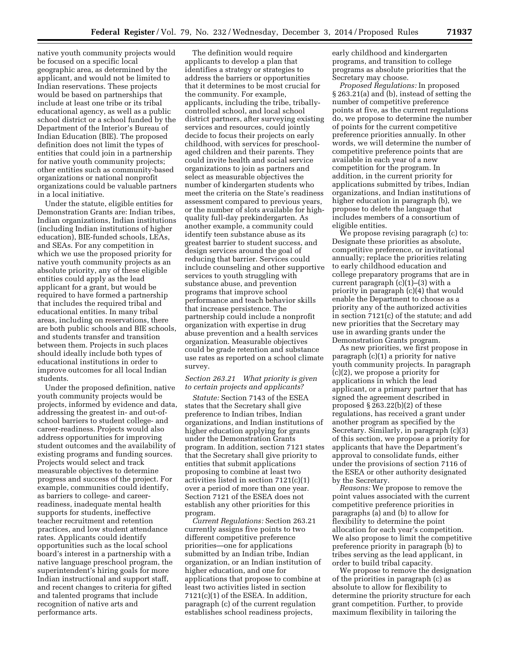native youth community projects would be focused on a specific local geographic area, as determined by the applicant, and would not be limited to Indian reservations. These projects would be based on partnerships that include at least one tribe or its tribal educational agency, as well as a public school district or a school funded by the Department of the Interior's Bureau of Indian Education (BIE). The proposed definition does not limit the types of entities that could join in a partnership for native youth community projects; other entities such as community-based organizations or national nonprofit organizations could be valuable partners in a local initiative.

Under the statute, eligible entities for Demonstration Grants are: Indian tribes, Indian organizations, Indian institutions (including Indian institutions of higher education), BIE-funded schools, LEAs, and SEAs. For any competition in which we use the proposed priority for native youth community projects as an absolute priority, any of these eligible entities could apply as the lead applicant for a grant, but would be required to have formed a partnership that includes the required tribal and educational entities. In many tribal areas, including on reservations, there are both public schools and BIE schools, and students transfer and transition between them. Projects in such places should ideally include both types of educational institutions in order to improve outcomes for all local Indian students.

Under the proposed definition, native youth community projects would be projects, informed by evidence and data, addressing the greatest in- and out-ofschool barriers to student college- and career-readiness. Projects would also address opportunities for improving student outcomes and the availability of existing programs and funding sources. Projects would select and track measurable objectives to determine progress and success of the project. For example, communities could identify, as barriers to college- and careerreadiness, inadequate mental health supports for students, ineffective teacher recruitment and retention practices, and low student attendance rates. Applicants could identify opportunities such as the local school board's interest in a partnership with a native language preschool program, the superintendent's hiring goals for more Indian instructional and support staff, and recent changes to criteria for gifted and talented programs that include recognition of native arts and performance arts.

The definition would require applicants to develop a plan that identifies a strategy or strategies to address the barriers or opportunities that it determines to be most crucial for the community. For example, applicants, including the tribe, triballycontrolled school, and local school district partners, after surveying existing services and resources, could jointly decide to focus their projects on early childhood, with services for preschoolaged children and their parents. They could invite health and social service organizations to join as partners and select as measurable objectives the number of kindergarten students who meet the criteria on the State's readiness assessment compared to previous years, or the number of slots available for highquality full-day prekindergarten. As another example, a community could identify teen substance abuse as its greatest barrier to student success, and design services around the goal of reducing that barrier. Services could include counseling and other supportive services to youth struggling with substance abuse, and prevention programs that improve school performance and teach behavior skills that increase persistence. The partnership could include a nonprofit organization with expertise in drug abuse prevention and a health services organization. Measurable objectives could be grade retention and substance use rates as reported on a school climate survey.

# *Section 263.21 What priority is given to certain projects and applicants?*

*Statute:* Section 7143 of the ESEA states that the Secretary shall give preference to Indian tribes, Indian organizations, and Indian institutions of higher education applying for grants under the Demonstration Grants program. In addition, section 7121 states that the Secretary shall give priority to entities that submit applications proposing to combine at least two activities listed in section 7121(c)(1) over a period of more than one year. Section 7121 of the ESEA does not establish any other priorities for this program.

*Current Regulations:* Section 263.21 currently assigns five points to two different competitive preference priorities—one for applications submitted by an Indian tribe, Indian organization, or an Indian institution of higher education, and one for applications that propose to combine at least two activities listed in section 7121(c)(1) of the ESEA. In addition, paragraph (c) of the current regulation establishes school readiness projects,

early childhood and kindergarten programs, and transition to college programs as absolute priorities that the Secretary may choose.

*Proposed Regulations:* In proposed § 263.21(a) and (b), instead of setting the number of competitive preference points at five, as the current regulations do, we propose to determine the number of points for the current competitive preference priorities annually. In other words, we will determine the number of competitive preference points that are available in each year of a new competition for the program. In addition, in the current priority for applications submitted by tribes, Indian organizations, and Indian institutions of higher education in paragraph (b), we propose to delete the language that includes members of a consortium of eligible entities.

We propose revising paragraph (c) to: Designate these priorities as absolute, competitive preference, or invitational annually; replace the priorities relating to early childhood education and college preparatory programs that are in current paragraph  $(c)(1)$ – $(3)$  with a priority in paragraph (c)(4) that would enable the Department to choose as a priority any of the authorized activities in section 7121(c) of the statute; and add new priorities that the Secretary may use in awarding grants under the Demonstration Grants program.

As new priorities, we first propose in paragraph (c)(1) a priority for native youth community projects. In paragraph (c)(2), we propose a priority for applications in which the lead applicant, or a primary partner that has signed the agreement described in proposed § 263.22(b)(2) of these regulations, has received a grant under another program as specified by the Secretary. Similarly, in paragraph (c)(3) of this section, we propose a priority for applicants that have the Department's approval to consolidate funds, either under the provisions of section 7116 of the ESEA or other authority designated by the Secretary.

*Reasons:* We propose to remove the point values associated with the current competitive preference priorities in paragraphs (a) and (b) to allow for flexibility to determine the point allocation for each year's competition. We also propose to limit the competitive preference priority in paragraph (b) to tribes serving as the lead applicant, in order to build tribal capacity.

We propose to remove the designation of the priorities in paragraph (c) as absolute to allow for flexibility to determine the priority structure for each grant competition. Further, to provide maximum flexibility in tailoring the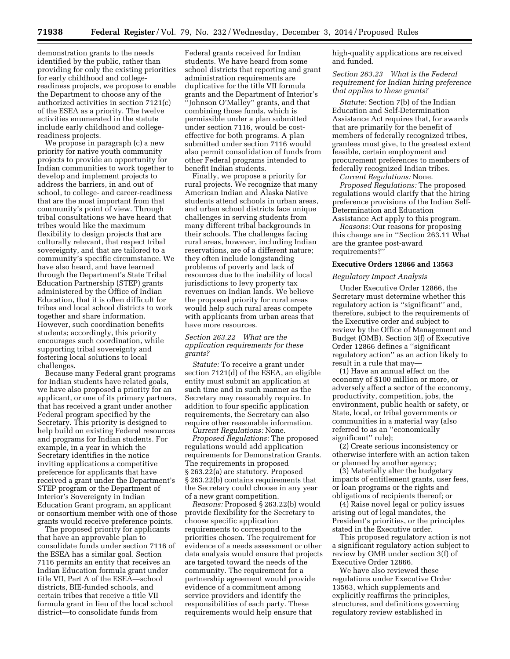demonstration grants to the needs identified by the public, rather than providing for only the existing priorities for early childhood and collegereadiness projects, we propose to enable the Department to choose any of the authorized activities in section 7121(c) of the ESEA as a priority. The twelve activities enumerated in the statute include early childhood and collegereadiness projects.

We propose in paragraph (c) a new priority for native youth community projects to provide an opportunity for Indian communities to work together to develop and implement projects to address the barriers, in and out of school, to college- and career-readiness that are the most important from that community's point of view. Through tribal consultations we have heard that tribes would like the maximum flexibility to design projects that are culturally relevant, that respect tribal sovereignty, and that are tailored to a community's specific circumstance. We have also heard, and have learned through the Department's State Tribal Education Partnership (STEP) grants administered by the Office of Indian Education, that it is often difficult for tribes and local school districts to work together and share information. However, such coordination benefits students; accordingly, this priority encourages such coordination, while supporting tribal sovereignty and fostering local solutions to local challenges.

Because many Federal grant programs for Indian students have related goals, we have also proposed a priority for an applicant, or one of its primary partners, that has received a grant under another Federal program specified by the Secretary. This priority is designed to help build on existing Federal resources and programs for Indian students. For example, in a year in which the Secretary identifies in the notice inviting applications a competitive preference for applicants that have received a grant under the Department's STEP program or the Department of Interior's Sovereignty in Indian Education Grant program, an applicant or consortium member with one of those grants would receive preference points.

The proposed priority for applicants that have an approvable plan to consolidate funds under section 7116 of the ESEA has a similar goal. Section 7116 permits an entity that receives an Indian Education formula grant under title VII, Part A of the ESEA—school districts, BIE-funded schools, and certain tribes that receive a title VII formula grant in lieu of the local school district—to consolidate funds from

Federal grants received for Indian students. We have heard from some school districts that reporting and grant administration requirements are duplicative for the title VII formula grants and the Department of Interior's ''Johnson O'Malley'' grants, and that combining those funds, which is permissible under a plan submitted under section 7116, would be costeffective for both programs. A plan submitted under section 7116 would also permit consolidation of funds from other Federal programs intended to benefit Indian students.

Finally, we propose a priority for rural projects. We recognize that many American Indian and Alaska Native students attend schools in urban areas, and urban school districts face unique challenges in serving students from many different tribal backgrounds in their schools. The challenges facing rural areas, however, including Indian reservations, are of a different nature; they often include longstanding problems of poverty and lack of resources due to the inability of local jurisdictions to levy property tax revenues on Indian lands. We believe the proposed priority for rural areas would help such rural areas compete with applicants from urban areas that have more resources.

# *Section 263.22 What are the application requirements for these grants?*

*Statute:* To receive a grant under section 7121(d) of the ESEA, an eligible entity must submit an application at such time and in such manner as the Secretary may reasonably require. In addition to four specific application requirements, the Secretary can also require other reasonable information.

*Current Regulations:* None.

*Proposed Regulations:* The proposed regulations would add application requirements for Demonstration Grants. The requirements in proposed § 263.22(a) are statutory. Proposed § 263.22(b) contains requirements that the Secretary could choose in any year of a new grant competition.

*Reasons:* Proposed § 263.22(b) would provide flexibility for the Secretary to choose specific application requirements to correspond to the priorities chosen. The requirement for evidence of a needs assessment or other data analysis would ensure that projects are targeted toward the needs of the community. The requirement for a partnership agreement would provide evidence of a commitment among service providers and identify the responsibilities of each party. These requirements would help ensure that

high-quality applications are received and funded.

*Section 263.23 What is the Federal requirement for Indian hiring preference that applies to these grants?* 

*Statute:* Section 7(b) of the Indian Education and Self-Determination Assistance Act requires that, for awards that are primarily for the benefit of members of federally recognized tribes, grantees must give, to the greatest extent feasible, certain employment and procurement preferences to members of federally recognized Indian tribes.

*Current Regulations:* None.

*Proposed Regulations:* The proposed regulations would clarify that the hiring preference provisions of the Indian Self-Determination and Education Assistance Act apply to this program.

*Reasons:* Our reasons for proposing this change are in ''Section 263.11 What are the grantee post-award requirements?''

# **Executive Orders 12866 and 13563**

# *Regulatory Impact Analysis*

Under Executive Order 12866, the Secretary must determine whether this regulatory action is ''significant'' and, therefore, subject to the requirements of the Executive order and subject to review by the Office of Management and Budget (OMB). Section 3(f) of Executive Order 12866 defines a ''significant regulatory action'' as an action likely to result in a rule that may—

(1) Have an annual effect on the economy of \$100 million or more, or adversely affect a sector of the economy, productivity, competition, jobs, the environment, public health or safety, or State, local, or tribal governments or communities in a material way (also referred to as an ''economically significant'' rule);

(2) Create serious inconsistency or otherwise interfere with an action taken or planned by another agency;

(3) Materially alter the budgetary impacts of entitlement grants, user fees, or loan programs or the rights and obligations of recipients thereof; or

(4) Raise novel legal or policy issues arising out of legal mandates, the President's priorities, or the principles stated in the Executive order.

This proposed regulatory action is not a significant regulatory action subject to review by OMB under section 3(f) of Executive Order 12866.

We have also reviewed these regulations under Executive Order 13563, which supplements and explicitly reaffirms the principles, structures, and definitions governing regulatory review established in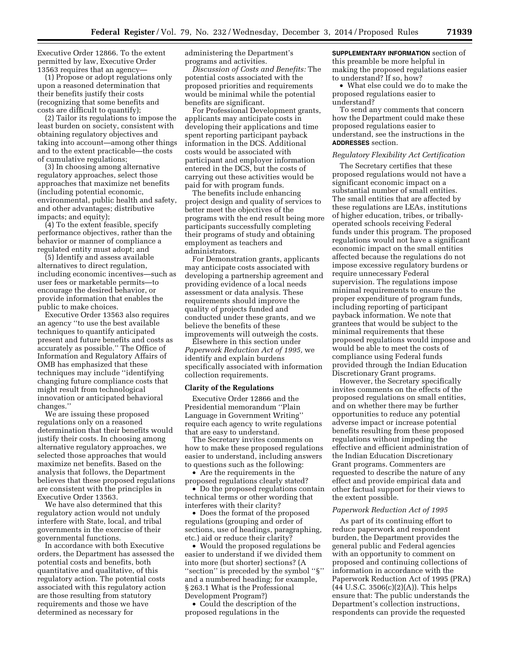Executive Order 12866. To the extent permitted by law, Executive Order 13563 requires that an agency—

(1) Propose or adopt regulations only upon a reasoned determination that their benefits justify their costs (recognizing that some benefits and costs are difficult to quantify);

(2) Tailor its regulations to impose the least burden on society, consistent with obtaining regulatory objectives and taking into account—among other things and to the extent practicable—the costs of cumulative regulations;

(3) In choosing among alternative regulatory approaches, select those approaches that maximize net benefits (including potential economic, environmental, public health and safety, and other advantages; distributive impacts; and equity);

(4) To the extent feasible, specify performance objectives, rather than the behavior or manner of compliance a regulated entity must adopt; and

(5) Identify and assess available alternatives to direct regulation, including economic incentives—such as user fees or marketable permits—to encourage the desired behavior, or provide information that enables the public to make choices.

Executive Order 13563 also requires an agency ''to use the best available techniques to quantify anticipated present and future benefits and costs as accurately as possible.'' The Office of Information and Regulatory Affairs of OMB has emphasized that these techniques may include ''identifying changing future compliance costs that might result from technological innovation or anticipated behavioral changes.''

We are issuing these proposed regulations only on a reasoned determination that their benefits would justify their costs. In choosing among alternative regulatory approaches, we selected those approaches that would maximize net benefits. Based on the analysis that follows, the Department believes that these proposed regulations are consistent with the principles in Executive Order 13563.

We have also determined that this regulatory action would not unduly interfere with State, local, and tribal governments in the exercise of their governmental functions.

In accordance with both Executive orders, the Department has assessed the potential costs and benefits, both quantitative and qualitative, of this regulatory action. The potential costs associated with this regulatory action are those resulting from statutory requirements and those we have determined as necessary for

administering the Department's programs and activities.

*Discussion of Costs and Benefits:* The potential costs associated with the proposed priorities and requirements would be minimal while the potential benefits are significant.

For Professional Development grants, applicants may anticipate costs in developing their applications and time spent reporting participant payback information in the DCS. Additional costs would be associated with participant and employer information entered in the DCS, but the costs of carrying out these activities would be paid for with program funds.

The benefits include enhancing project design and quality of services to better meet the objectives of the programs with the end result being more participants successfully completing their programs of study and obtaining employment as teachers and administrators.

For Demonstration grants, applicants may anticipate costs associated with developing a partnership agreement and providing evidence of a local needs assessment or data analysis. These requirements should improve the quality of projects funded and conducted under these grants, and we believe the benefits of these improvements will outweigh the costs.

Elsewhere in this section under *Paperwork Reduction Act of 1995,* we identify and explain burdens specifically associated with information collection requirements.

#### **Clarity of the Regulations**

Executive Order 12866 and the Presidential memorandum ''Plain Language in Government Writing'' require each agency to write regulations that are easy to understand.

The Secretary invites comments on how to make these proposed regulations easier to understand, including answers to questions such as the following:

• Are the requirements in the proposed regulations clearly stated?

• Do the proposed regulations contain technical terms or other wording that interferes with their clarity?

• Does the format of the proposed regulations (grouping and order of sections, use of headings, paragraphing, etc.) aid or reduce their clarity?

• Would the proposed regulations be easier to understand if we divided them into more (but shorter) sections? (A ''section'' is preceded by the symbol ''§'' and a numbered heading; for example, § 263.1 What is the Professional Development Program?)

• Could the description of the proposed regulations in the

**SUPPLEMENTARY INFORMATION** section of this preamble be more helpful in making the proposed regulations easier to understand? If so, how?

• What else could we do to make the proposed regulations easier to understand?

To send any comments that concern how the Department could make these proposed regulations easier to understand, see the instructions in the **ADDRESSES** section.

#### *Regulatory Flexibility Act Certification*

The Secretary certifies that these proposed regulations would not have a significant economic impact on a substantial number of small entities. The small entities that are affected by these regulations are LEAs, institutions of higher education, tribes, or triballyoperated schools receiving Federal funds under this program. The proposed regulations would not have a significant economic impact on the small entities affected because the regulations do not impose excessive regulatory burdens or require unnecessary Federal supervision. The regulations impose minimal requirements to ensure the proper expenditure of program funds, including reporting of participant payback information. We note that grantees that would be subject to the minimal requirements that these proposed regulations would impose and would be able to meet the costs of compliance using Federal funds provided through the Indian Education Discretionary Grant programs.

However, the Secretary specifically invites comments on the effects of the proposed regulations on small entities, and on whether there may be further opportunities to reduce any potential adverse impact or increase potential benefits resulting from these proposed regulations without impeding the effective and efficient administration of the Indian Education Discretionary Grant programs. Commenters are requested to describe the nature of any effect and provide empirical data and other factual support for their views to the extent possible.

#### *Paperwork Reduction Act of 1995*

As part of its continuing effort to reduce paperwork and respondent burden, the Department provides the general public and Federal agencies with an opportunity to comment on proposed and continuing collections of information in accordance with the Paperwork Reduction Act of 1995 (PRA)  $(44 \text{ U.S.C. } 3506(c)(2)(A))$ . This helps ensure that: The public understands the Department's collection instructions, respondents can provide the requested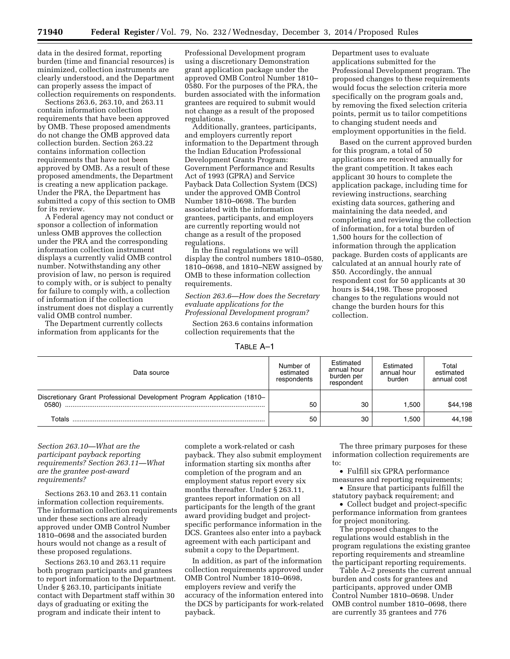data in the desired format, reporting burden (time and financial resources) is minimized, collection instruments are clearly understood, and the Department can properly assess the impact of collection requirements on respondents.

Sections 263.6, 263.10, and 263.11 contain information collection requirements that have been approved by OMB. These proposed amendments do not change the OMB approved data collection burden. Section 263.22 contains information collection requirements that have not been approved by OMB. As a result of these proposed amendments, the Department is creating a new application package. Under the PRA, the Department has submitted a copy of this section to OMB for its review.

A Federal agency may not conduct or sponsor a collection of information unless OMB approves the collection under the PRA and the corresponding information collection instrument displays a currently valid OMB control number. Notwithstanding any other provision of law, no person is required to comply with, or is subject to penalty for failure to comply with, a collection of information if the collection instrument does not display a currently valid OMB control number.

The Department currently collects information from applicants for the

Professional Development program using a discretionary Demonstration grant application package under the approved OMB Control Number 1810– 0580. For the purposes of the PRA, the burden associated with the information grantees are required to submit would not change as a result of the proposed regulations.

Additionally, grantees, participants, and employers currently report information to the Department through the Indian Education Professional Development Grants Program: Government Performance and Results Act of 1993 (GPRA) and Service Payback Data Collection System (DCS) under the approved OMB Control Number 1810–0698. The burden associated with the information grantees, participants, and employers are currently reporting would not change as a result of the proposed regulations.

In the final regulations we will display the control numbers 1810–0580, 1810–0698, and 1810–NEW assigned by OMB to these information collection requirements.

*Section 263.6—How does the Secretary evaluate applications for the Professional Development program?* 

Section 263.6 contains information collection requirements that the

Department uses to evaluate applications submitted for the Professional Development program. The proposed changes to these requirements would focus the selection criteria more specifically on the program goals and, by removing the fixed selection criteria points, permit us to tailor competitions to changing student needs and employment opportunities in the field.

Based on the current approved burden for this program, a total of 50 applications are received annually for the grant competition. It takes each applicant 30 hours to complete the application package, including time for reviewing instructions, searching existing data sources, gathering and maintaining the data needed, and completing and reviewing the collection of information, for a total burden of 1,500 hours for the collection of information through the application package. Burden costs of applicants are calculated at an annual hourly rate of \$50. Accordingly, the annual respondent cost for 50 applicants at 30 hours is \$44,198. These proposed changes to the regulations would not change the burden hours for this collection.

TABLE A–1

| Data source                                                                      | Number of<br>estimated<br>respondents | Estimated<br>annual hour<br>burden per<br>respondent | Estimated<br>annual hour<br>burden | Total<br>estimated<br>annual cost |
|----------------------------------------------------------------------------------|---------------------------------------|------------------------------------------------------|------------------------------------|-----------------------------------|
| Discretionary Grant Professional Development Program Application (1810–<br>0580) | 50                                    | 30                                                   | 1.500                              | \$44,198                          |
| Totals                                                                           | 50                                    | 30                                                   | 1.500                              | 44.198                            |

*Section 263.10—What are the participant payback reporting requirements? Section 263.11—What are the grantee post-award requirements?* 

Sections 263.10 and 263.11 contain information collection requirements. The information collection requirements under these sections are already approved under OMB Control Number 1810–0698 and the associated burden hours would not change as a result of these proposed regulations.

Sections 263.10 and 263.11 require both program participants and grantees to report information to the Department. Under § 263.10, participants initiate contact with Department staff within 30 days of graduating or exiting the program and indicate their intent to

complete a work-related or cash payback. They also submit employment information starting six months after completion of the program and an employment status report every six months thereafter. Under § 263.11, grantees report information on all participants for the length of the grant award providing budget and projectspecific performance information in the DCS. Grantees also enter into a payback agreement with each participant and submit a copy to the Department.

In addition, as part of the information collection requirements approved under OMB Control Number 1810–0698, employers review and verify the accuracy of the information entered into the DCS by participants for work-related payback.

The three primary purposes for these information collection requirements are to:

• Fulfill six GPRA performance measures and reporting requirements;

• Ensure that participants fulfill the statutory payback requirement; and

• Collect budget and project-specific performance information from grantees for project monitoring.

The proposed changes to the regulations would establish in the program regulations the existing grantee reporting requirements and streamline the participant reporting requirements.

Table A–2 presents the current annual burden and costs for grantees and participants, approved under OMB Control Number 1810–0698. Under OMB control number 1810–0698, there are currently 35 grantees and 776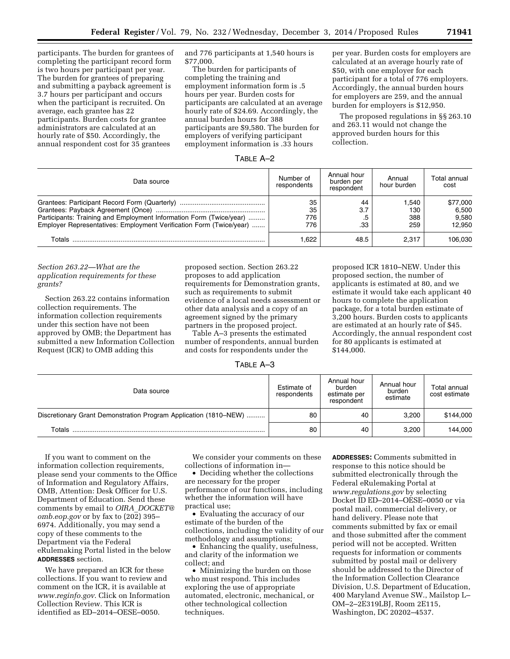participants. The burden for grantees of completing the participant record form is two hours per participant per year. The burden for grantees of preparing and submitting a payback agreement is 3.7 hours per participant and occurs when the participant is recruited. On average, each grantee has 22 participants. Burden costs for grantee administrators are calculated at an hourly rate of \$50. Accordingly, the annual respondent cost for 35 grantees

and 776 participants at 1,540 hours is \$77,000.

The burden for participants of completing the training and employment information form is .5 hours per year. Burden costs for participants are calculated at an average hourly rate of \$24.69. Accordingly, the annual burden hours for 388 participants are \$9,580. The burden for employers of verifying participant employment information is .33 hours

per year. Burden costs for employers are calculated at an average hourly rate of \$50, with one employer for each participant for a total of 776 employers. Accordingly, the annual burden hours for employers are 259, and the annual burden for employers is \$12,950.

The proposed regulations in §§ 263.10 and 263.11 would not change the approved burden hours for this collection.

proposed ICR 1810–NEW. Under this proposed section, the number of applicants is estimated at 80, and we estimate it would take each applicant 40 hours to complete the application package, for a total burden estimate of 3,200 hours. Burden costs to applicants are estimated at an hourly rate of \$45. Accordingly, the annual respondent cost

for 80 applicants is estimated at

\$144,000.

| ABI F |  |
|-------|--|
|-------|--|

| Data source                                                                                                                                | Number of<br>respondents | Annual hour<br>burden per<br>respondent | Annual<br>hour burden      | Total annual<br>cost                 |
|--------------------------------------------------------------------------------------------------------------------------------------------|--------------------------|-----------------------------------------|----------------------------|--------------------------------------|
| Participants: Training and Employment Information Form (Twice/year)<br>Employer Representatives: Employment Verification Form (Twice/year) | 35<br>35<br>776<br>776   | 44<br>3.7<br>.5<br>.33                  | 1.540<br>130<br>388<br>259 | \$77,000<br>6.500<br>9.580<br>12.950 |
| Totals                                                                                                                                     | 1.622                    | 48.5                                    | 2.317                      | 106.030                              |

# *Section 263.22—What are the application requirements for these grants?*

Section 263.22 contains information collection requirements. The information collection requirements under this section have not been approved by OMB; the Department has submitted a new Information Collection Request (ICR) to OMB adding this

proposed section. Section 263.22 proposes to add application requirements for Demonstration grants, such as requirements to submit evidence of a local needs assessment or other data analysis and a copy of an agreement signed by the primary partners in the proposed project.

Table A–3 presents the estimated number of respondents, annual burden and costs for respondents under the

TABLE A–3

| Data source                                                      | Estimate of<br>respondents | Annual hour<br>burden<br>estimate per<br>respondent | Annual hour<br>burden<br>estimate | Total annual<br>cost estimate |
|------------------------------------------------------------------|----------------------------|-----------------------------------------------------|-----------------------------------|-------------------------------|
| Discretionary Grant Demonstration Program Application (1810–NEW) | 80                         | 40                                                  | 3.200                             | \$144,000                     |
| Totals                                                           | 80                         | 40                                                  | 3.200                             | 144,000                       |

If you want to comment on the information collection requirements, please send your comments to the Office of Information and Regulatory Affairs, OMB, Attention: Desk Officer for U.S. Department of Education. Send these comments by email to *OIRA*\_*[DOCKET@](mailto:OIRA_DOCKET@omb.eop.gov) [omb.eop.gov](mailto:OIRA_DOCKET@omb.eop.gov)* or by fax to (202) 395– 6974. Additionally, you may send a copy of these comments to the Department via the Federal eRulemaking Portal listed in the below **ADDRESSES** section.

We have prepared an ICR for these collections. If you want to review and comment on the ICR, it is available at *[www.reginfo.gov](http://www.reginfo.gov)*. Click on Information Collection Review. This ICR is identified as ED–2014–OESE–0050.

We consider your comments on these collections of information in—

• Deciding whether the collections are necessary for the proper performance of our functions, including whether the information will have practical use;

• Evaluating the accuracy of our estimate of the burden of the collections, including the validity of our methodology and assumptions;

• Enhancing the quality, usefulness, and clarity of the information we collect; and

• Minimizing the burden on those who must respond. This includes exploring the use of appropriate automated, electronic, mechanical, or other technological collection techniques.

**ADDRESSES:** Comments submitted in response to this notice should be submitted electronically through the Federal eRulemaking Portal at *[www.regulations.gov](http://www.regulations.gov)* by selecting Docket ID ED–2014–OESE–0050 or via postal mail, commercial delivery, or hand delivery. Please note that comments submitted by fax or email and those submitted after the comment period will not be accepted. Written requests for information or comments submitted by postal mail or delivery should be addressed to the Director of the Information Collection Clearance Division, U.S. Department of Education, 400 Maryland Avenue SW., Mailstop L– OM–2–2E319LBJ, Room 2E115, Washington, DC 20202–4537.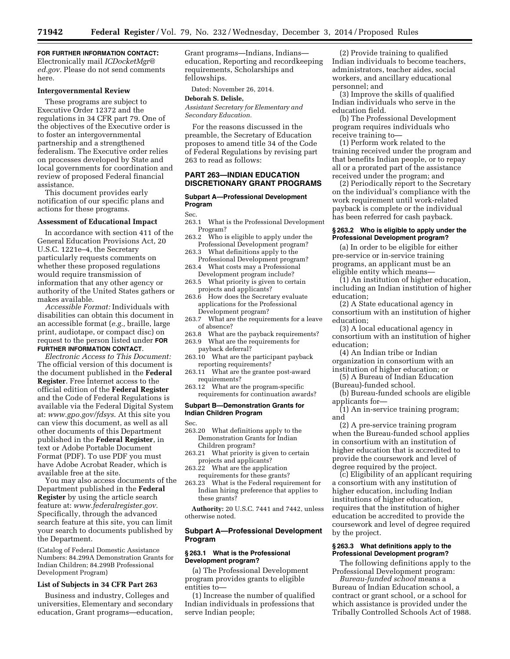# **FOR FURTHER INFORMATION CONTACT:**

Electronically mail *[ICDocketMgr@](mailto:ICDocketMgr@ed.gov) [ed.gov](mailto:ICDocketMgr@ed.gov)*. Please do not send comments here.

#### **Intergovernmental Review**

These programs are subject to Executive Order 12372 and the regulations in 34 CFR part 79. One of the objectives of the Executive order is to foster an intergovernmental partnership and a strengthened federalism. The Executive order relies on processes developed by State and local governments for coordination and review of proposed Federal financial assistance.

This document provides early notification of our specific plans and actions for these programs.

#### **Assessment of Educational Impact**

In accordance with section 411 of the General Education Provisions Act, 20 U.S.C. 1221e–4, the Secretary particularly requests comments on whether these proposed regulations would require transmission of information that any other agency or authority of the United States gathers or makes available.

*Accessible Format:* Individuals with disabilities can obtain this document in an accessible format (*e.g.,* braille, large print, audiotape, or compact disc) on request to the person listed under **FOR FURTHER INFORMATION CONTACT**.

*Electronic Access to This Document:*  The official version of this document is the document published in the **Federal Register**. Free Internet access to the official edition of the **Federal Register**  and the Code of Federal Regulations is available via the Federal Digital System at: *[www.gpo.gov/fdsys](http://www.gpo.gov/fdsys)*. At this site you can view this document, as well as all other documents of this Department published in the **Federal Register**, in text or Adobe Portable Document Format (PDF). To use PDF you must have Adobe Acrobat Reader, which is available free at the site.

You may also access documents of the Department published in the **Federal Register** by using the article search feature at: *[www.federalregister.gov.](http://www.federalregister.gov)*  Specifically, through the advanced search feature at this site, you can limit your search to documents published by the Department.

(Catalog of Federal Domestic Assistance Numbers: 84.299A Demonstration Grants for Indian Children; 84.299B Professional Development Program)

# **List of Subjects in 34 CFR Part 263**

Business and industry, Colleges and universities, Elementary and secondary education, Grant programs—education,

Grant programs—Indians, Indians education, Reporting and recordkeeping requirements, Scholarships and fellowships.

Dated: November 26, 2014.

#### **Deborah S. Delisle,**

*Assistant Secretary for Elementary and Secondary Education.* 

For the reasons discussed in the preamble, the Secretary of Education proposes to amend title 34 of the Code of Federal Regulations by revising part 263 to read as follows:

#### **PART 263—INDIAN EDUCATION DISCRETIONARY GRANT PROGRAMS**

#### **Subpart A—Professional Development Program**

#### Sec.

- 263.1 What is the Professional Development Program?
- 263.2 Who is eligible to apply under the Professional Development program?
- 263.3 What definitions apply to the Professional Development program?
- 263.4 What costs may a Professional Development program include?
- 263.5 What priority is given to certain
- projects and applicants? 263.6 How does the Secretary evaluate applications for the Professional
- Development program? 263.7 What are the requirements for a leave of absence?
- 263.8 What are the payback requirements?
- 263.9 What are the requirements for
- payback deferral?
- 263.10 What are the participant payback reporting requirements?
- 263.11 What are the grantee post-award requirements?
- 263.12 What are the program-specific requirements for continuation awards?

# **Subpart B—Demonstration Grants for Indian Children Program**

Sec.

- 263.20 What definitions apply to the Demonstration Grants for Indian Children program?
- 263.21 What priority is given to certain projects and applicants?
- 263.22 What are the application requirements for these grants?
- 263.23 What is the Federal requirement for Indian hiring preference that applies to these grants?

**Authority:** 20 U.S.C. 7441 and 7442, unless otherwise noted.

# **Subpart A—Professional Development Program**

#### **§ 263.1 What is the Professional Development program?**

(a) The Professional Development program provides grants to eligible entities to—

(1) Increase the number of qualified Indian individuals in professions that serve Indian people;

(2) Provide training to qualified Indian individuals to become teachers, administrators, teacher aides, social workers, and ancillary educational personnel; and

(3) Improve the skills of qualified Indian individuals who serve in the education field.

(b) The Professional Development program requires individuals who receive training to—

(1) Perform work related to the training received under the program and that benefits Indian people, or to repay all or a prorated part of the assistance received under the program; and

(2) Periodically report to the Secretary on the individual's compliance with the work requirement until work-related payback is complete or the individual has been referred for cash payback.

# **§ 263.2 Who is eligible to apply under the Professional Development program?**

(a) In order to be eligible for either pre-service or in-service training programs, an applicant must be an eligible entity which means—

(1) An institution of higher education, including an Indian institution of higher education;

(2) A State educational agency in consortium with an institution of higher education;

(3) A local educational agency in consortium with an institution of higher education;

(4) An Indian tribe or Indian organization in consortium with an institution of higher education; or

(5) A Bureau of Indian Education (Bureau)-funded school.

(b) Bureau-funded schools are eligible applicants for—

(1) An in-service training program; and

(2) A pre-service training program when the Bureau-funded school applies in consortium with an institution of higher education that is accredited to provide the coursework and level of degree required by the project.

(c) Eligibility of an applicant requiring a consortium with any institution of higher education, including Indian institutions of higher education, requires that the institution of higher education be accredited to provide the coursework and level of degree required by the project.

# **§ 263.3 What definitions apply to the Professional Development program?**

The following definitions apply to the Professional Development program:

*Bureau-funded school* means a Bureau of Indian Education school, a contract or grant school, or a school for which assistance is provided under the Tribally Controlled Schools Act of 1988.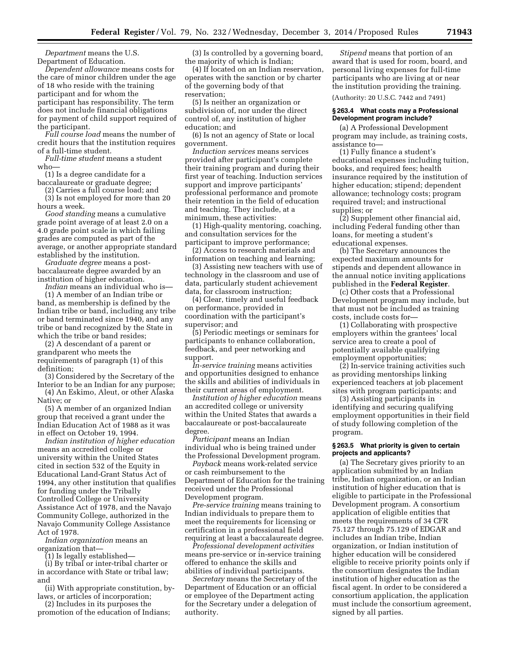*Department* means the U.S. Department of Education.

*Dependent allowance* means costs for the care of minor children under the age of 18 who reside with the training participant and for whom the participant has responsibility. The term does not include financial obligations for payment of child support required of the participant.

*Full course load* means the number of credit hours that the institution requires of a full-time student.

*Full-time student* means a student who—

(1) Is a degree candidate for a baccalaureate or graduate degree;

(2) Carries a full course load; and (3) Is not employed for more than 20 hours a week.

*Good standing* means a cumulative grade point average of at least 2.0 on a 4.0 grade point scale in which failing grades are computed as part of the average, or another appropriate standard established by the institution.

*Graduate degree* means a postbaccalaureate degree awarded by an institution of higher education.

*Indian* means an individual who is— (1) A member of an Indian tribe or band, as membership is defined by the Indian tribe or band, including any tribe or band terminated since 1940, and any tribe or band recognized by the State in which the tribe or band resides;

(2) A descendant of a parent or grandparent who meets the requirements of paragraph (1) of this definition;

(3) Considered by the Secretary of the Interior to be an Indian for any purpose;

(4) An Eskimo, Aleut, or other Alaska Native; or

(5) A member of an organized Indian group that received a grant under the Indian Education Act of 1988 as it was in effect on October 19, 1994.

*Indian institution of higher education*  means an accredited college or university within the United States cited in section 532 of the Equity in Educational Land-Grant Status Act of 1994, any other institution that qualifies for funding under the Tribally Controlled College or University Assistance Act of 1978, and the Navajo Community College, authorized in the Navajo Community College Assistance Act of 1978.

*Indian organization* means an organization that—

(1) Is legally established—

(i) By tribal or inter-tribal charter or in accordance with State or tribal law; and

(ii) With appropriate constitution, bylaws, or articles of incorporation;

(2) Includes in its purposes the promotion of the education of Indians;

(3) Is controlled by a governing board, the majority of which is Indian;

(4) If located on an Indian reservation, operates with the sanction or by charter of the governing body of that reservation;

(5) Is neither an organization or subdivision of, nor under the direct control of, any institution of higher education; and

(6) Is not an agency of State or local government.

*Induction services* means services provided after participant's complete their training program and during their first year of teaching. Induction services support and improve participants' professional performance and promote their retention in the field of education and teaching. They include, at a minimum, these activities:

(1) High-quality mentoring, coaching, and consultation services for the participant to improve performance;

(2) Access to research materials and information on teaching and learning;

(3) Assisting new teachers with use of technology in the classroom and use of data, particularly student achievement data, for classroom instruction;

(4) Clear, timely and useful feedback on performance, provided in coordination with the participant's supervisor; and

(5) Periodic meetings or seminars for participants to enhance collaboration, feedback, and peer networking and support.

*In-service training* means activities and opportunities designed to enhance the skills and abilities of individuals in their current areas of employment.

*Institution of higher education* means an accredited college or university within the United States that awards a baccalaureate or post-baccalaureate degree.

*Participant* means an Indian individual who is being trained under the Professional Development program.

*Payback* means work-related service or cash reimbursement to the Department of Education for the training received under the Professional Development program.

*Pre-service training* means training to Indian individuals to prepare them to meet the requirements for licensing or certification in a professional field requiring at least a baccalaureate degree.

*Professional development activities*  means pre-service or in-service training offered to enhance the skills and abilities of individual participants.

*Secretary* means the Secretary of the Department of Education or an official or employee of the Department acting for the Secretary under a delegation of authority.

*Stipend* means that portion of an award that is used for room, board, and personal living expenses for full-time participants who are living at or near the institution providing the training. (Authority: 20 U.S.C. 7442 and 7491)

# **§ 263.4 What costs may a Professional Development program include?**

(a) A Professional Development program may include, as training costs, assistance to—

(1) Fully finance a student's educational expenses including tuition, books, and required fees; health insurance required by the institution of higher education; stipend; dependent allowance; technology costs; program required travel; and instructional supplies; or

(2) Supplement other financial aid, including Federal funding other than loans, for meeting a student's educational expenses.

(b) The Secretary announces the expected maximum amounts for stipends and dependent allowance in the annual notice inviting applications published in the **Federal Register**.

(c) Other costs that a Professional Development program may include, but that must not be included as training costs, include costs for—

(1) Collaborating with prospective employers within the grantees' local service area to create a pool of potentially available qualifying employment opportunities;

(2) In-service training activities such as providing mentorships linking experienced teachers at job placement sites with program participants; and

(3) Assisting participants in identifying and securing qualifying employment opportunities in their field of study following completion of the program.

# **§ 263.5 What priority is given to certain projects and applicants?**

(a) The Secretary gives priority to an application submitted by an Indian tribe, Indian organization, or an Indian institution of higher education that is eligible to participate in the Professional Development program. A consortium application of eligible entities that meets the requirements of 34 CFR 75.127 through 75.129 of EDGAR and includes an Indian tribe, Indian organization, or Indian institution of higher education will be considered eligible to receive priority points only if the consortium designates the Indian institution of higher education as the fiscal agent. In order to be considered a consortium application, the application must include the consortium agreement, signed by all parties.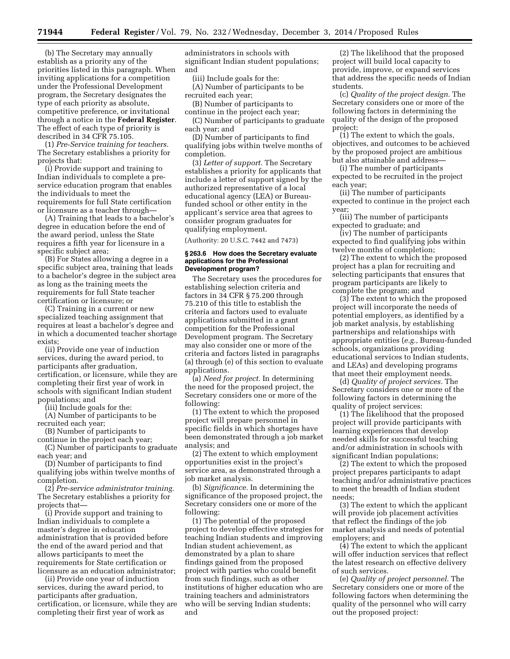(b) The Secretary may annually establish as a priority any of the priorities listed in this paragraph. When inviting applications for a competition under the Professional Development program, the Secretary designates the type of each priority as absolute, competitive preference, or invitational through a notice in the **Federal Register**. The effect of each type of priority is described in 34 CFR 75.105.

(1) *Pre-Service training for teachers.*  The Secretary establishes a priority for projects that:

(i) Provide support and training to Indian individuals to complete a preservice education program that enables the individuals to meet the requirements for full State certification or licensure as a teacher through—

(A) Training that leads to a bachelor's degree in education before the end of the award period, unless the State requires a fifth year for licensure in a specific subject area;

(B) For States allowing a degree in a specific subject area, training that leads to a bachelor's degree in the subject area as long as the training meets the requirements for full State teacher certification or licensure; or

(C) Training in a current or new specialized teaching assignment that requires at least a bachelor's degree and in which a documented teacher shortage exists;

(ii) Provide one year of induction services, during the award period, to participants after graduation, certification, or licensure, while they are completing their first year of work in schools with significant Indian student populations; and

(iii) Include goals for the:

(A) Number of participants to be recruited each year;

(B) Number of participants to

continue in the project each year; (C) Number of participants to graduate each year; and

(D) Number of participants to find qualifying jobs within twelve months of completion.

(2) *Pre-service administrator training.*  The Secretary establishes a priority for projects that—

(i) Provide support and training to Indian individuals to complete a master's degree in education administration that is provided before the end of the award period and that allows participants to meet the requirements for State certification or licensure as an education administrator;

(ii) Provide one year of induction services, during the award period, to participants after graduation, certification, or licensure, while they are completing their first year of work as

administrators in schools with significant Indian student populations; and

(iii) Include goals for the:

(A) Number of participants to be recruited each year;

(B) Number of participants to

continue in the project each year; (C) Number of participants to graduate each year; and

(D) Number of participants to find qualifying jobs within twelve months of completion.

(3) *Letter of support.* The Secretary establishes a priority for applicants that include a letter of support signed by the authorized representative of a local educational agency (LEA) or Bureaufunded school or other entity in the applicant's service area that agrees to consider program graduates for qualifying employment.

(Authority: 20 U.S.C. 7442 and 7473)

#### **§ 263.6 How does the Secretary evaluate applications for the Professional Development program?**

The Secretary uses the procedures for establishing selection criteria and factors in 34 CFR § 75.200 through 75.210 of this title to establish the criteria and factors used to evaluate applications submitted in a grant competition for the Professional Development program. The Secretary may also consider one or more of the criteria and factors listed in paragraphs (a) through (e) of this section to evaluate applications.

(a) *Need for project.* In determining the need for the proposed project, the Secretary considers one or more of the following:

(1) The extent to which the proposed project will prepare personnel in specific fields in which shortages have been demonstrated through a job market analysis; and

(2) The extent to which employment opportunities exist in the project's service area, as demonstrated through a job market analysis.

(b) *Significance.* In determining the significance of the proposed project, the Secretary considers one or more of the following:

(1) The potential of the proposed project to develop effective strategies for teaching Indian students and improving Indian student achievement, as demonstrated by a plan to share findings gained from the proposed project with parties who could benefit from such findings, such as other institutions of higher education who are training teachers and administrators who will be serving Indian students; and

(2) The likelihood that the proposed project will build local capacity to provide, improve, or expand services that address the specific needs of Indian students.

(c) *Quality of the project design.* The Secretary considers one or more of the following factors in determining the quality of the design of the proposed project:

(1) The extent to which the goals, objectives, and outcomes to be achieved by the proposed project are ambitious but also attainable and address—

(i) The number of participants expected to be recruited in the project each year;

(ii) The number of participants expected to continue in the project each year;

(iii) The number of participants expected to graduate; and

(iv) The number of participants expected to find qualifying jobs within twelve months of completion;

(2) The extent to which the proposed project has a plan for recruiting and selecting participants that ensures that program participants are likely to complete the program; and

(3) The extent to which the proposed project will incorporate the needs of potential employers, as identified by a job market analysis, by establishing partnerships and relationships with appropriate entities (*e.g.,* Bureau-funded schools, organizations providing educational services to Indian students, and LEAs) and developing programs that meet their employment needs.

(d) *Quality of project services.* The Secretary considers one or more of the following factors in determining the quality of project services:

(1) The likelihood that the proposed project will provide participants with learning experiences that develop needed skills for successful teaching and/or administration in schools with significant Indian populations;

(2) The extent to which the proposed project prepares participants to adapt teaching and/or administrative practices to meet the breadth of Indian student needs;

(3) The extent to which the applicant will provide job placement activities that reflect the findings of the job market analysis and needs of potential employers; and

(4) The extent to which the applicant will offer induction services that reflect the latest research on effective delivery of such services.

(e) *Quality of project personnel.* The Secretary considers one or more of the following factors when determining the quality of the personnel who will carry out the proposed project: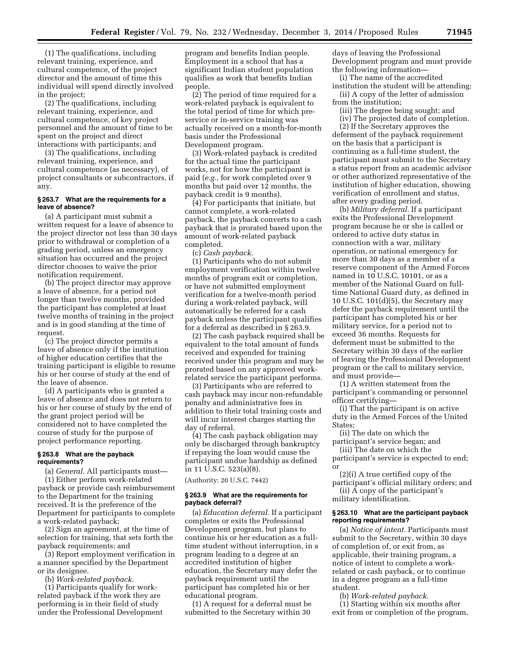(1) The qualifications, including relevant training, experience, and cultural competence, of the project director and the amount of time this individual will spend directly involved in the project;

(2) The qualifications, including relevant training, experience, and cultural competence, of key project personnel and the amount of time to be spent on the project and direct interactions with participants; and

(3) The qualifications, including relevant training, experience, and cultural competence (as necessary), of project consultants or subcontractors, if any.

#### **§ 263.7 What are the requirements for a leave of absence?**

(a) A participant must submit a written request for a leave of absence to the project director not less than 30 days prior to withdrawal or completion of a grading period, unless an emergency situation has occurred and the project director chooses to waive the prior notification requirement.

(b) The project director may approve a leave of absence, for a period not longer than twelve months, provided the participant has completed at least twelve months of training in the project and is in good standing at the time of request.

(c) The project director permits a leave of absence only if the institution of higher education certifies that the training participant is eligible to resume his or her course of study at the end of the leave of absence.

(d) A participants who is granted a leave of absence and does not return to his or her course of study by the end of the grant project period will be considered not to have completed the course of study for the purpose of project performance reporting.

#### **§ 263.8 What are the payback requirements?**

(a) *General.* All participants must—

(1) Either perform work-related payback or provide cash reimbursement to the Department for the training received. It is the preference of the Department for participants to complete a work-related payback;

(2) Sign an agreement, at the time of selection for training, that sets forth the payback requirements; and

(3) Report employment verification in a manner specified by the Department or its designee.

(b) *Work-related payback.* 

(1) Participants qualify for workrelated payback if the work they are performing is in their field of study under the Professional Development program and benefits Indian people. Employment in a school that has a significant Indian student population qualifies as work that benefits Indian people.

(2) The period of time required for a work-related payback is equivalent to the total period of time for which preservice or in-service training was actually received on a month-for-month basis under the Professional Development program.

(3) Work-related payback is credited for the actual time the participant works, not for how the participant is paid (*e.g.,* for work completed over 9 months but paid over 12 months, the payback credit is 9 months).

(4) For participants that initiate, but cannot complete, a work-related payback, the payback converts to a cash payback that is prorated based upon the amount of work-related payback completed.

(c) *Cash payback.* 

(1) Participants who do not submit employment verification within twelve months of program exit or completion, or have not submitted employment verification for a twelve-month period during a work-related payback, will automatically be referred for a cash payback unless the participant qualifies for a deferral as described in § 263.9.

(2) The cash payback required shall be equivalent to the total amount of funds received and expended for training received under this program and may be prorated based on any approved workrelated service the participant performs.

(3) Participants who are referred to cash payback may incur non-refundable penalty and administrative fees in addition to their total training costs and will incur interest charges starting the day of referral.

(4) The cash payback obligation may only be discharged through bankruptcy if repaying the loan would cause the participant undue hardship as defined in 11 U.S.C. 523(a)(8).

(Authority: 20 U.S.C. 7442)

#### **§ 263.9 What are the requirements for payback deferral?**

(a) *Education deferral.* If a participant completes or exits the Professional Development program, but plans to continue his or her education as a fulltime student without interruption, in a program leading to a degree at an accredited institution of higher education, the Secretary may defer the payback requirement until the participant has completed his or her educational program.

(1) A request for a deferral must be submitted to the Secretary within 30

days of leaving the Professional Development program and must provide the following information—

(i) The name of the accredited institution the student will be attending;

- (ii) A copy of the letter of admission from the institution;
- (iii) The degree being sought; and
- (iv) The projected date of completion. (2) If the Secretary approves the

deferment of the payback requirement on the basis that a participant is continuing as a full-time student, the participant must submit to the Secretary a status report from an academic advisor or other authorized representative of the institution of higher education, showing verification of enrollment and status, after every grading period.

(b) *Military deferral.* If a participant exits the Professional Development program because he or she is called or ordered to active duty status in connection with a war, military operation, or national emergency for more than 30 days as a member of a reserve component of the Armed Forces named in 10 U.S.C. 10101, or as a member of the National Guard on fulltime National Guard duty, as defined in 10 U.S.C. 101(d)(5), the Secretary may defer the payback requirement until the participant has completed his or her military service, for a period not to exceed 36 months. Requests for deferment must be submitted to the Secretary within 30 days of the earlier of leaving the Professional Development program or the call to military service, and must provide—

(1) A written statement from the participant's commanding or personnel officer certifying—

(i) That the participant is on active duty in the Armed Forces of the United States;

(ii) The date on which the participant's service began; and

(iii) The date on which the participant's service is expected to end; or

(2)(i) A true certified copy of the

participant's official military orders; and (ii) A copy of the participant's

military identification.

# **§ 263.10 What are the participant payback reporting requirements?**

(a) *Notice of intent.* Participants must submit to the Secretary, within 30 days of completion of, or exit from, as applicable, their training program, a notice of intent to complete a workrelated or cash payback, or to continue in a degree program as a full-time student.

(b) *Work-related payback.* 

(1) Starting within six months after exit from or completion of the program,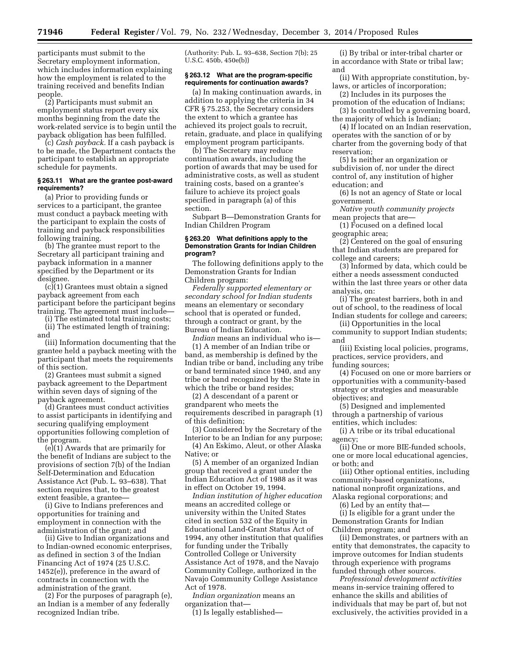participants must submit to the Secretary employment information, which includes information explaining how the employment is related to the training received and benefits Indian people.

(2) Participants must submit an employment status report every six months beginning from the date the work-related service is to begin until the payback obligation has been fulfilled.

(c) *Cash payback.* If a cash payback is to be made, the Department contacts the participant to establish an appropriate schedule for payments.

#### **§ 263.11 What are the grantee post-award requirements?**

(a) Prior to providing funds or services to a participant, the grantee must conduct a payback meeting with the participant to explain the costs of training and payback responsibilities following training.

(b) The grantee must report to the Secretary all participant training and payback information in a manner specified by the Department or its designee.

(c)(1) Grantees must obtain a signed payback agreement from each participant before the participant begins training. The agreement must include—

(i) The estimated total training costs;

(ii) The estimated length of training; and

(iii) Information documenting that the grantee held a payback meeting with the participant that meets the requirements of this section.

(2) Grantees must submit a signed payback agreement to the Department within seven days of signing of the payback agreement.

(d) Grantees must conduct activities to assist participants in identifying and securing qualifying employment opportunities following completion of the program.

 $(e)(1)$  Awards that are primarily for the benefit of Indians are subject to the provisions of section 7(b) of the Indian Self-Determination and Education Assistance Act (Pub. L. 93–638). That section requires that, to the greatest extent feasible, a grantee—

(i) Give to Indians preferences and opportunities for training and employment in connection with the administration of the grant; and

(ii) Give to Indian organizations and to Indian-owned economic enterprises, as defined in section 3 of the Indian Financing Act of 1974 (25 U.S.C. 1452(e)), preference in the award of contracts in connection with the administration of the grant.

(2) For the purposes of paragraph (e), an Indian is a member of any federally recognized Indian tribe.

(Authority: Pub. L. 93–638, Section 7(b); 25 U.S.C. 450b, 450e(b))

# **§ 263.12 What are the program-specific requirements for continuation awards?**

(a) In making continuation awards, in addition to applying the criteria in 34 CFR § 75.253, the Secretary considers the extent to which a grantee has achieved its project goals to recruit, retain, graduate, and place in qualifying employment program participants.

(b) The Secretary may reduce continuation awards, including the portion of awards that may be used for administrative costs, as well as student training costs, based on a grantee's failure to achieve its project goals specified in paragraph (a) of this section.

Subpart B—Demonstration Grants for Indian Children Program

# **§ 263.20 What definitions apply to the Demonstration Grants for Indian Children program?**

The following definitions apply to the Demonstration Grants for Indian Children program:

*Federally supported elementary or secondary school for Indian students*  means an elementary or secondary school that is operated or funded, through a contract or grant, by the Bureau of Indian Education.

*Indian* means an individual who is— (1) A member of an Indian tribe or band, as membership is defined by the Indian tribe or band, including any tribe or band terminated since 1940, and any tribe or band recognized by the State in which the tribe or band resides;

(2) A descendant of a parent or grandparent who meets the requirements described in paragraph (1) of this definition;

(3) Considered by the Secretary of the Interior to be an Indian for any purpose; (4) An Eskimo, Aleut, or other Alaska

Native; or

(5) A member of an organized Indian group that received a grant under the Indian Education Act of 1988 as it was in effect on October 19, 1994.

*Indian institution of higher education*  means an accredited college or university within the United States cited in section 532 of the Equity in Educational Land-Grant Status Act of 1994, any other institution that qualifies for funding under the Tribally Controlled College or University Assistance Act of 1978, and the Navajo Community College, authorized in the Navajo Community College Assistance Act of 1978.

*Indian organization* means an organization that—

(1) Is legally established—

(i) By tribal or inter-tribal charter or in accordance with State or tribal law; and

(ii) With appropriate constitution, bylaws, or articles of incorporation;

(2) Includes in its purposes the promotion of the education of Indians;

(3) Is controlled by a governing board, the majority of which is Indian;

(4) If located on an Indian reservation, operates with the sanction of or by charter from the governing body of that reservation;

(5) Is neither an organization or subdivision of, nor under the direct control of, any institution of higher education; and

(6) Is not an agency of State or local government.

*Native youth community projects*  mean projects that are—

(1) Focused on a defined local geographic area;

(2) Centered on the goal of ensuring that Indian students are prepared for college and careers;

(3) Informed by data, which could be either a needs assessment conducted within the last three years or other data analysis, on:

(i) The greatest barriers, both in and out of school, to the readiness of local Indian students for college and careers;

(ii) Opportunities in the local community to support Indian students; and

(iii) Existing local policies, programs, practices, service providers, and funding sources;

(4) Focused on one or more barriers or opportunities with a community-based strategy or strategies and measurable objectives; and

(5) Designed and implemented through a partnership of various entities, which includes:

(i) A tribe or its tribal educational agency;

(ii) One or more BIE-funded schools, one or more local educational agencies, or both; and

(iii) Other optional entities, including community-based organizations, national nonprofit organizations, and Alaska regional corporations; and (6) Led by an entity that—

(i) Is eligible for a grant under the Demonstration Grants for Indian

Children program; and

(ii) Demonstrates, or partners with an entity that demonstrates, the capacity to improve outcomes for Indian students through experience with programs funded through other sources.

*Professional development activities*  means in-service training offered to enhance the skills and abilities of individuals that may be part of, but not exclusively, the activities provided in a